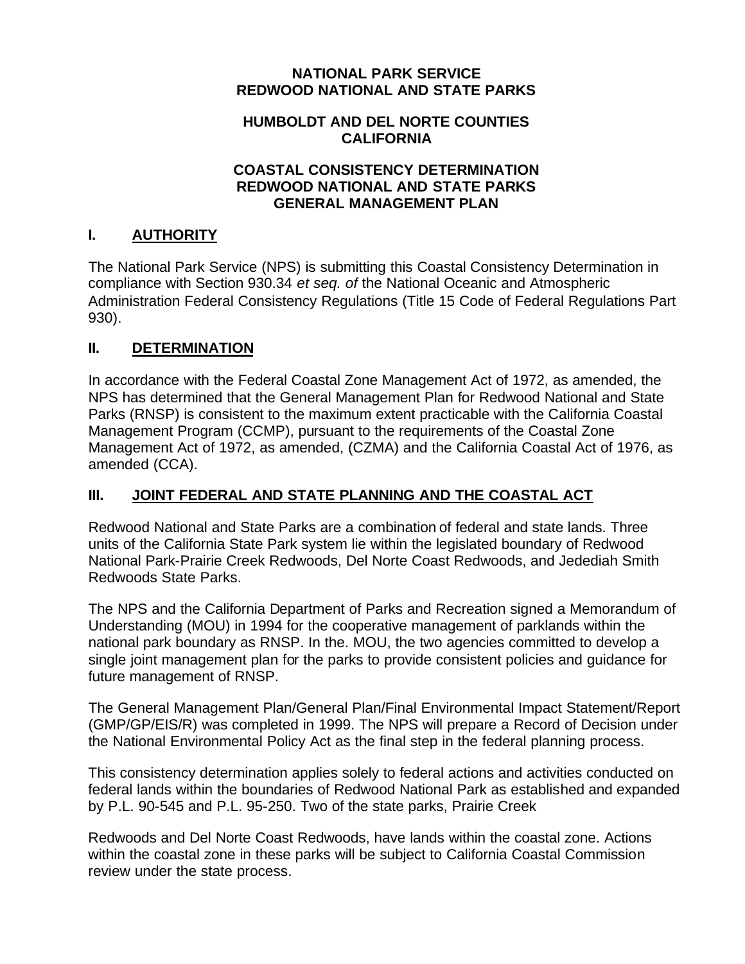### **NATIONAL PARK SERVICE REDWOOD NATIONAL AND STATE PARKS**

### **HUMBOLDT AND DEL NORTE COUNTIES CALIFORNIA**

### **COASTAL CONSISTENCY DETERMINATION REDWOOD NATIONAL AND STATE PARKS GENERAL MANAGEMENT PLAN**

## **I. AUTHORITY**

The National Park Service (NPS) is submitting this Coastal Consistency Determination in compliance with Section 930.34 *et seq. of* the National Oceanic and Atmospheric Administration Federal Consistency Regulations (Title 15 Code of Federal Regulations Part 930).

## **II. DETERMINATION**

In accordance with the Federal Coastal Zone Management Act of 1972, as amended, the NPS has determined that the General Management Plan for Redwood National and State Parks (RNSP) is consistent to the maximum extent practicable with the California Coastal Management Program (CCMP), pursuant to the requirements of the Coastal Zone Management Act of 1972, as amended, (CZMA) and the California Coastal Act of 1976, as amended (CCA).

# **III. JOINT FEDERAL AND STATE PLANNING AND THE COASTAL ACT**

Redwood National and State Parks are a combination of federal and state lands. Three units of the California State Park system lie within the legislated boundary of Redwood National Park-Prairie Creek Redwoods, Del Norte Coast Redwoods, and Jedediah Smith Redwoods State Parks.

The NPS and the California Department of Parks and Recreation signed a Memorandum of Understanding (MOU) in 1994 for the cooperative management of parklands within the national park boundary as RNSP. In the. MOU, the two agencies committed to develop a single joint management plan for the parks to provide consistent policies and guidance for future management of RNSP.

The General Management Plan/General Plan/Final Environmental Impact Statement/Report (GMP/GP/EIS/R) was completed in 1999. The NPS will prepare a Record of Decision under the National Environmental Policy Act as the final step in the federal planning process.

This consistency determination applies solely to federal actions and activities conducted on federal lands within the boundaries of Redwood National Park as established and expanded by P.L. 90-545 and P.L. 95-250. Two of the state parks, Prairie Creek

Redwoods and Del Norte Coast Redwoods, have lands within the coastal zone. Actions within the coastal zone in these parks will be subject to California Coastal Commission review under the state process.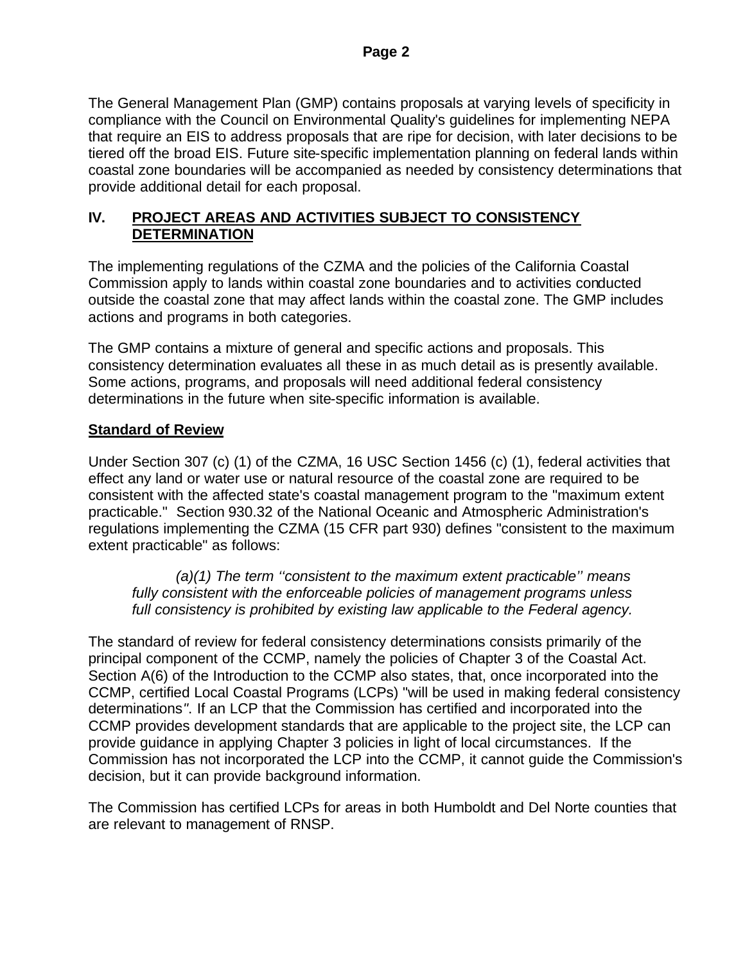The General Management Plan (GMP) contains proposals at varying levels of specificity in compliance with the Council on Environmental Quality's guidelines for implementing NEPA that require an EIS to address proposals that are ripe for decision, with later decisions to be tiered off the broad EIS. Future site-specific implementation planning on federal lands within coastal zone boundaries will be accompanied as needed by consistency determinations that provide additional detail for each proposal.

## **IV. PROJECT AREAS AND ACTIVITIES SUBJECT TO CONSISTENCY DETERMINATION**

The implementing regulations of the CZMA and the policies of the California Coastal Commission apply to lands within coastal zone boundaries and to activities conducted outside the coastal zone that may affect lands within the coastal zone. The GMP includes actions and programs in both categories.

The GMP contains a mixture of general and specific actions and proposals. This consistency determination evaluates all these in as much detail as is presently available. Some actions, programs, and proposals will need additional federal consistency determinations in the future when site-specific information is available.

## **Standard of Review**

Under Section 307 (c) (1) of the CZMA, 16 USC Section 1456 (c) (1), federal activities that effect any land or water use or natural resource of the coastal zone are required to be consistent with the affected state's coastal management program to the "maximum extent practicable." Section 930.32 of the National Oceanic and Atmospheric Administration's regulations implementing the CZMA (15 CFR part 930) defines "consistent to the maximum extent practicable" as follows:

*(a)(1) The term ''consistent to the maximum extent practicable'' means fully consistent with the enforceable policies of management programs unless full consistency is prohibited by existing law applicable to the Federal agency.*

The standard of review for federal consistency determinations consists primarily of the principal component of the CCMP, namely the policies of Chapter 3 of the Coastal Act. Section A(6) of the Introduction to the CCMP also states, that, once incorporated into the CCMP, certified Local Coastal Programs (LCPs) "will be used in making federal consistency determinations*"*. If an LCP that the Commission has certified and incorporated into the CCMP provides development standards that are applicable to the project site, the LCP can provide guidance in applying Chapter 3 policies in light of local circumstances. If the Commission has not incorporated the LCP into the CCMP, it cannot guide the Commission's decision, but it can provide background information.

The Commission has certified LCPs for areas in both Humboldt and Del Norte counties that are relevant to management of RNSP.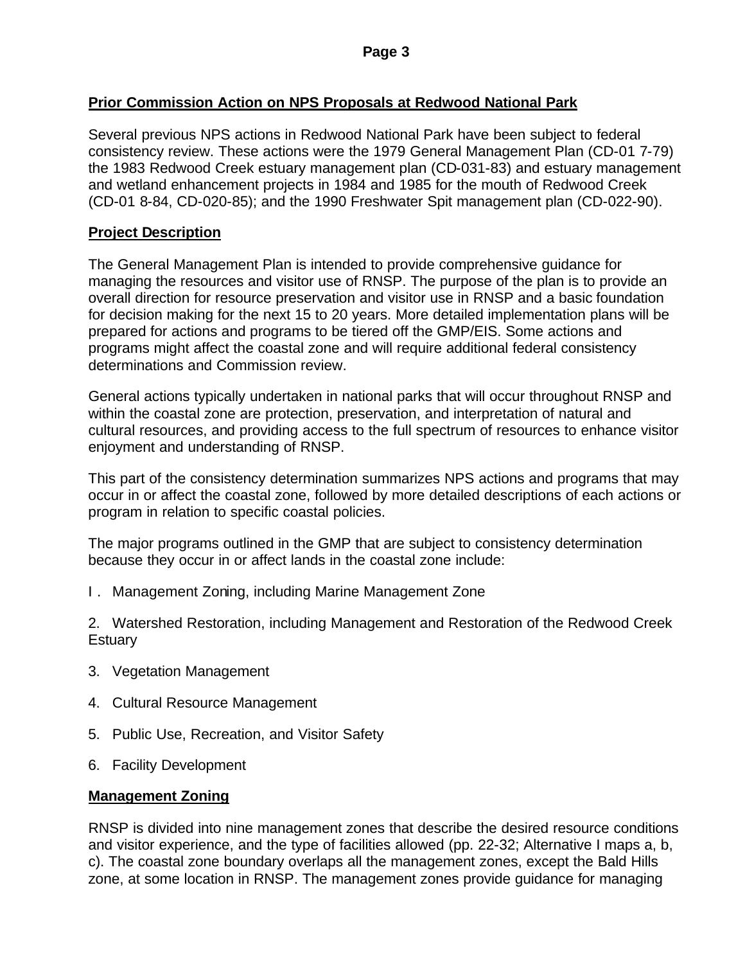### **Prior Commission Action on NPS Proposals at Redwood National Park**

Several previous NPS actions in Redwood National Park have been subject to federal consistency review. These actions were the 1979 General Management Plan (CD-01 7-79) the 1983 Redwood Creek estuary management plan (CD-031-83) and estuary management and wetland enhancement projects in 1984 and 1985 for the mouth of Redwood Creek (CD-01 8-84, CD-020-85); and the 1990 Freshwater Spit management plan (CD-022-90).

### **Project Description**

The General Management Plan is intended to provide comprehensive guidance for managing the resources and visitor use of RNSP. The purpose of the plan is to provide an overall direction for resource preservation and visitor use in RNSP and a basic foundation for decision making for the next 15 to 20 years. More detailed implementation plans will be prepared for actions and programs to be tiered off the GMP/EIS. Some actions and programs might affect the coastal zone and will require additional federal consistency determinations and Commission review.

General actions typically undertaken in national parks that will occur throughout RNSP and within the coastal zone are protection, preservation, and interpretation of natural and cultural resources, and providing access to the full spectrum of resources to enhance visitor enjoyment and understanding of RNSP.

This part of the consistency determination summarizes NPS actions and programs that may occur in or affect the coastal zone, followed by more detailed descriptions of each actions or program in relation to specific coastal policies.

The major programs outlined in the GMP that are subject to consistency determination because they occur in or affect lands in the coastal zone include:

I . Management Zoning, including Marine Management Zone

2. Watershed Restoration, including Management and Restoration of the Redwood Creek **Estuary** 

- 3. Vegetation Management
- 4. Cultural Resource Management
- 5. Public Use, Recreation, and Visitor Safety
- 6. Facility Development

#### **Management Zoning**

RNSP is divided into nine management zones that describe the desired resource conditions and visitor experience, and the type of facilities allowed (pp. 22-32; Alternative I maps a, b, c). The coastal zone boundary overlaps all the management zones, except the Bald Hills zone, at some location in RNSP. The management zones provide guidance for managing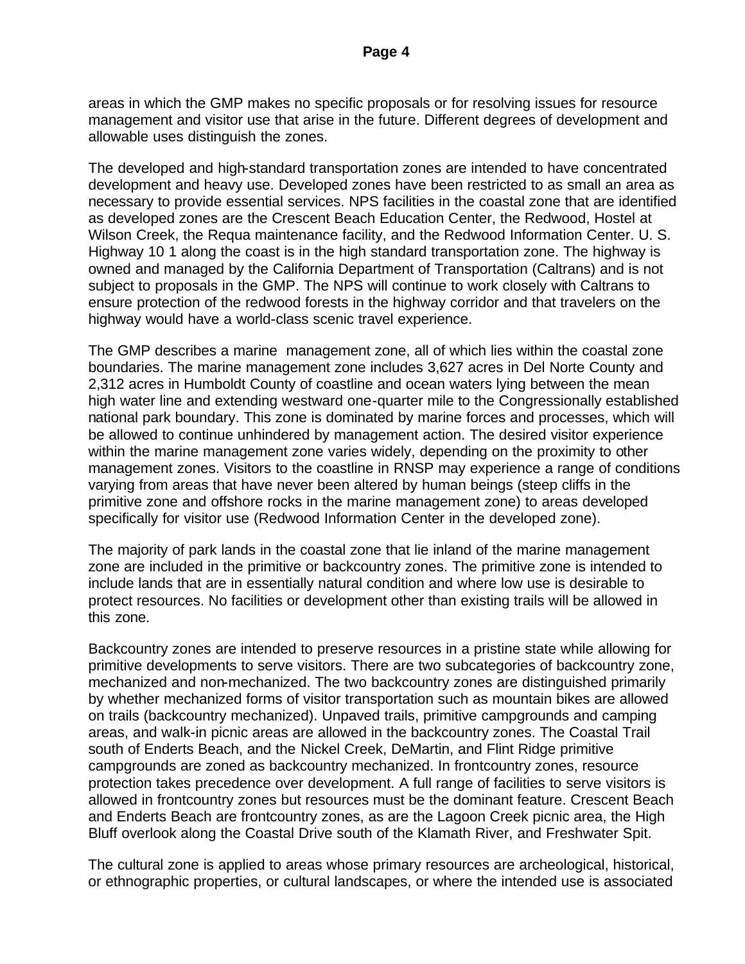areas in which the GMP makes no specific proposals or for resolving issues for resource management and visitor use that arise in the future. Different degrees of development and allowable uses distinguish the zones.

The developed and high-standard transportation zones are intended to have concentrated development and heavy use. Developed zones have been restricted to as small an area as necessary to provide essential services. NPS facilities in the coastal zone that are identified as developed zones are the Crescent Beach Education Center, the Redwood, Hostel at Wilson Creek, the Requa maintenance facility, and the Redwood Information Center. U. S. Highway 10 1 along the coast is in the high standard transportation zone. The highway is owned and managed by the California Department of Transportation (Caltrans) and is not subject to proposals in the GMP. The NPS will continue to work closely with Caltrans to ensure protection of the redwood forests in the highway corridor and that travelers on the highway would have a world-class scenic travel experience.

The GMP describes a marine management zone, all of which lies within the coastal zone boundaries. The marine management zone includes 3,627 acres in Del Norte County and 2,312 acres in Humboldt County of coastline and ocean waters lying between the mean high water line and extending westward one-quarter mile to the Congressionally established national park boundary. This zone is dominated by marine forces and processes, which will be allowed to continue unhindered by management action. The desired visitor experience within the marine management zone varies widely, depending on the proximity to other management zones. Visitors to the coastline in RNSP may experience a range of conditions varying from areas that have never been altered by human beings (steep cliffs in the primitive zone and offshore rocks in the marine management zone) to areas developed specifically for visitor use (Redwood Information Center in the developed zone).

The majority of park lands in the coastal zone that lie inland of the marine management zone are included in the primitive or backcountry zones. The primitive zone is intended to include lands that are in essentially natural condition and where low use is desirable to protect resources. No facilities or development other than existing trails will be allowed in this zone.

Backcountry zones are intended to preserve resources in a pristine state while allowing for primitive developments to serve visitors. There are two subcategories of backcountry zone, mechanized and non-mechanized. The two backcountry zones are distinguished primarily by whether mechanized forms of visitor transportation such as mountain bikes are allowed on trails (backcountry mechanized). Unpaved trails, primitive campgrounds and camping areas, and walk-in picnic areas are allowed in the backcountry zones. The Coastal Trail south of Enderts Beach, and the Nickel Creek, DeMartin, and Flint Ridge primitive campgrounds are zoned as backcountry mechanized. In frontcountry zones, resource protection takes precedence over development. A full range of facilities to serve visitors is allowed in frontcountry zones but resources must be the dominant feature. Crescent Beach and Enderts Beach are frontcountry zones, as are the Lagoon Creek picnic area, the High Bluff overlook along the Coastal Drive south of the Klamath River, and Freshwater Spit.

The cultural zone is applied to areas whose primary resources are archeological, historical, or ethnographic properties, or cultural landscapes, or where the intended use is associated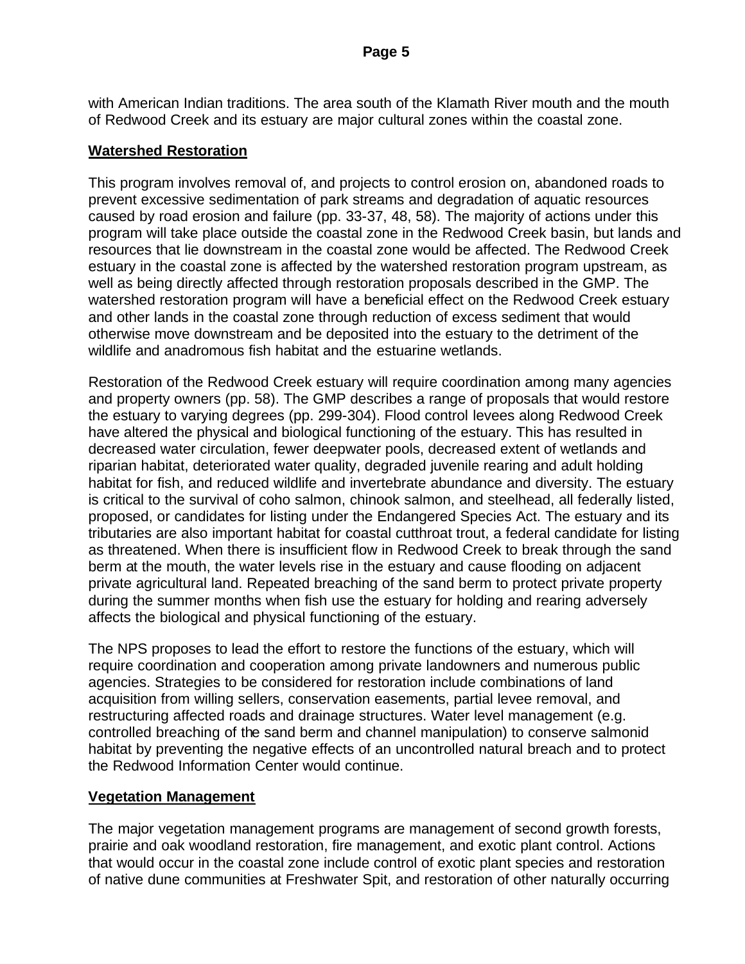with American Indian traditions. The area south of the Klamath River mouth and the mouth of Redwood Creek and its estuary are major cultural zones within the coastal zone.

### **Watershed Restoration**

This program involves removal of, and projects to control erosion on, abandoned roads to prevent excessive sedimentation of park streams and degradation of aquatic resources caused by road erosion and failure (pp. 33-37, 48, 58). The majority of actions under this program will take place outside the coastal zone in the Redwood Creek basin, but lands and resources that lie downstream in the coastal zone would be affected. The Redwood Creek estuary in the coastal zone is affected by the watershed restoration program upstream, as well as being directly affected through restoration proposals described in the GMP. The watershed restoration program will have a beneficial effect on the Redwood Creek estuary and other lands in the coastal zone through reduction of excess sediment that would otherwise move downstream and be deposited into the estuary to the detriment of the wildlife and anadromous fish habitat and the estuarine wetlands.

Restoration of the Redwood Creek estuary will require coordination among many agencies and property owners (pp. 58). The GMP describes a range of proposals that would restore the estuary to varying degrees (pp. 299-304). Flood control levees along Redwood Creek have altered the physical and biological functioning of the estuary. This has resulted in decreased water circulation, fewer deepwater pools, decreased extent of wetlands and riparian habitat, deteriorated water quality, degraded juvenile rearing and adult holding habitat for fish, and reduced wildlife and invertebrate abundance and diversity. The estuary is critical to the survival of coho salmon, chinook salmon, and steelhead, all federally listed, proposed, or candidates for listing under the Endangered Species Act. The estuary and its tributaries are also important habitat for coastal cutthroat trout, a federal candidate for listing as threatened. When there is insufficient flow in Redwood Creek to break through the sand berm at the mouth, the water levels rise in the estuary and cause flooding on adjacent private agricultural land. Repeated breaching of the sand berm to protect private property during the summer months when fish use the estuary for holding and rearing adversely affects the biological and physical functioning of the estuary.

The NPS proposes to lead the effort to restore the functions of the estuary, which will require coordination and cooperation among private landowners and numerous public agencies. Strategies to be considered for restoration include combinations of land acquisition from willing sellers, conservation easements, partial levee removal, and restructuring affected roads and drainage structures. Water level management (e.g. controlled breaching of the sand berm and channel manipulation) to conserve salmonid habitat by preventing the negative effects of an uncontrolled natural breach and to protect the Redwood Information Center would continue.

#### **Vegetation Management**

The major vegetation management programs are management of second growth forests, prairie and oak woodland restoration, fire management, and exotic plant control. Actions that would occur in the coastal zone include control of exotic plant species and restoration of native dune communities at Freshwater Spit, and restoration of other naturally occurring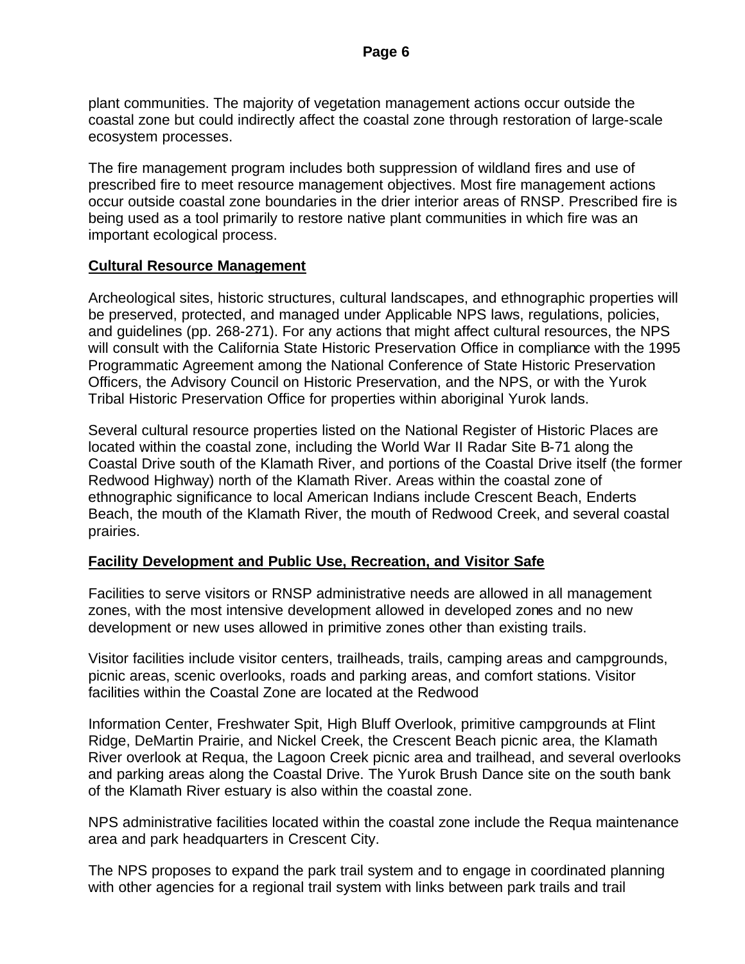plant communities. The majority of vegetation management actions occur outside the coastal zone but could indirectly affect the coastal zone through restoration of large-scale ecosystem processes.

The fire management program includes both suppression of wildland fires and use of prescribed fire to meet resource management objectives. Most fire management actions occur outside coastal zone boundaries in the drier interior areas of RNSP. Prescribed fire is being used as a tool primarily to restore native plant communities in which fire was an important ecological process.

#### **Cultural Resource Management**

Archeological sites, historic structures, cultural landscapes, and ethnographic properties will be preserved, protected, and managed under Applicable NPS laws, regulations, policies, and guidelines (pp. 268-271). For any actions that might affect cultural resources, the NPS will consult with the California State Historic Preservation Office in compliance with the 1995 Programmatic Agreement among the National Conference of State Historic Preservation Officers, the Advisory Council on Historic Preservation, and the NPS, or with the Yurok Tribal Historic Preservation Office for properties within aboriginal Yurok lands.

Several cultural resource properties listed on the National Register of Historic Places are located within the coastal zone, including the World War II Radar Site B-71 along the Coastal Drive south of the Klamath River, and portions of the Coastal Drive itself (the former Redwood Highway) north of the Klamath River. Areas within the coastal zone of ethnographic significance to local American Indians include Crescent Beach, Enderts Beach, the mouth of the Klamath River, the mouth of Redwood Creek, and several coastal prairies.

#### **Facility Development and Public Use, Recreation, and Visitor Safe**

Facilities to serve visitors or RNSP administrative needs are allowed in all management zones, with the most intensive development allowed in developed zones and no new development or new uses allowed in primitive zones other than existing trails.

Visitor facilities include visitor centers, trailheads, trails, camping areas and campgrounds, picnic areas, scenic overlooks, roads and parking areas, and comfort stations. Visitor facilities within the Coastal Zone are located at the Redwood

Information Center, Freshwater Spit, High Bluff Overlook, primitive campgrounds at Flint Ridge, DeMartin Prairie, and Nickel Creek, the Crescent Beach picnic area, the Klamath River overlook at Requa, the Lagoon Creek picnic area and trailhead, and several overlooks and parking areas along the Coastal Drive. The Yurok Brush Dance site on the south bank of the Klamath River estuary is also within the coastal zone.

NPS administrative facilities located within the coastal zone include the Requa maintenance area and park headquarters in Crescent City.

The NPS proposes to expand the park trail system and to engage in coordinated planning with other agencies for a regional trail system with links between park trails and trail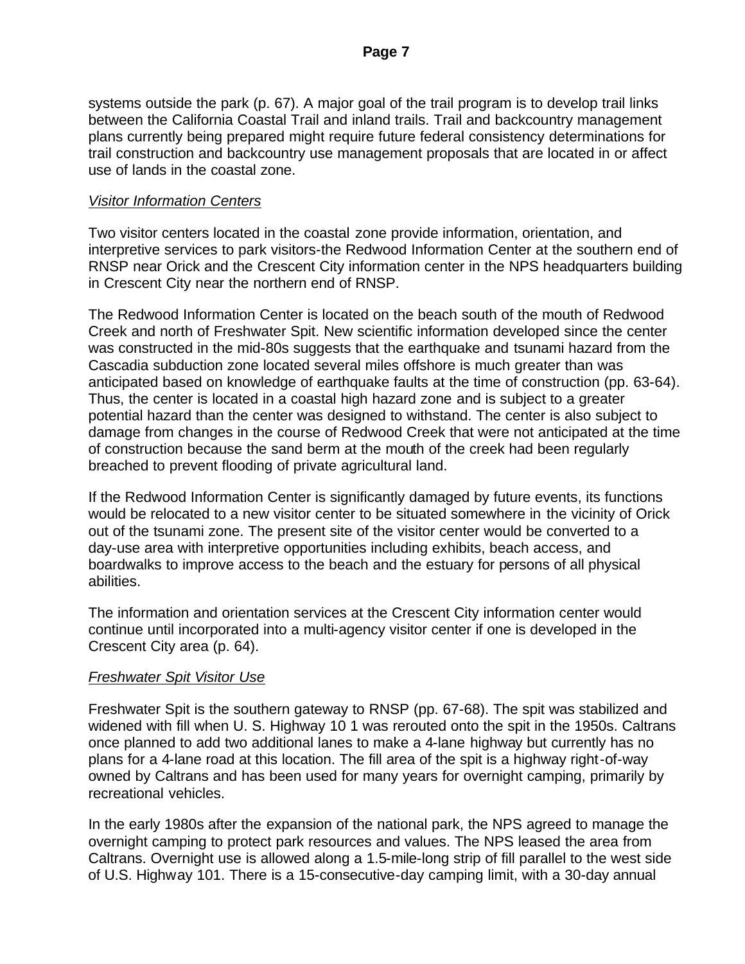systems outside the park (p. 67). A major goal of the trail program is to develop trail links between the California Coastal Trail and inland trails. Trail and backcountry management plans currently being prepared might require future federal consistency determinations for trail construction and backcountry use management proposals that are located in or affect use of lands in the coastal zone.

#### *Visitor Information Centers*

Two visitor centers located in the coastal zone provide information, orientation, and interpretive services to park visitors-the Redwood Information Center at the southern end of RNSP near Orick and the Crescent City information center in the NPS headquarters building in Crescent City near the northern end of RNSP.

The Redwood Information Center is located on the beach south of the mouth of Redwood Creek and north of Freshwater Spit. New scientific information developed since the center was constructed in the mid-80s suggests that the earthquake and tsunami hazard from the Cascadia subduction zone located several miles offshore is much greater than was anticipated based on knowledge of earthquake faults at the time of construction (pp. 63-64). Thus, the center is located in a coastal high hazard zone and is subject to a greater potential hazard than the center was designed to withstand. The center is also subject to damage from changes in the course of Redwood Creek that were not anticipated at the time of construction because the sand berm at the mouth of the creek had been regularly breached to prevent flooding of private agricultural land.

If the Redwood Information Center is significantly damaged by future events, its functions would be relocated to a new visitor center to be situated somewhere in the vicinity of Orick out of the tsunami zone. The present site of the visitor center would be converted to a day-use area with interpretive opportunities including exhibits, beach access, and boardwalks to improve access to the beach and the estuary for persons of all physical abilities.

The information and orientation services at the Crescent City information center would continue until incorporated into a multi-agency visitor center if one is developed in the Crescent City area (p. 64).

## *Freshwater Spit Visitor Use*

Freshwater Spit is the southern gateway to RNSP (pp. 67-68). The spit was stabilized and widened with fill when U. S. Highway 10 1 was rerouted onto the spit in the 1950s. Caltrans once planned to add two additional lanes to make a 4-lane highway but currently has no plans for a 4-lane road at this location. The fill area of the spit is a highway right-of-way owned by Caltrans and has been used for many years for overnight camping, primarily by recreational vehicles.

In the early 1980s after the expansion of the national park, the NPS agreed to manage the overnight camping to protect park resources and values. The NPS leased the area from Caltrans. Overnight use is allowed along a 1.5-mile-long strip of fill parallel to the west side of U.S. Highway 101. There is a 15-consecutive-day camping limit, with a 30-day annual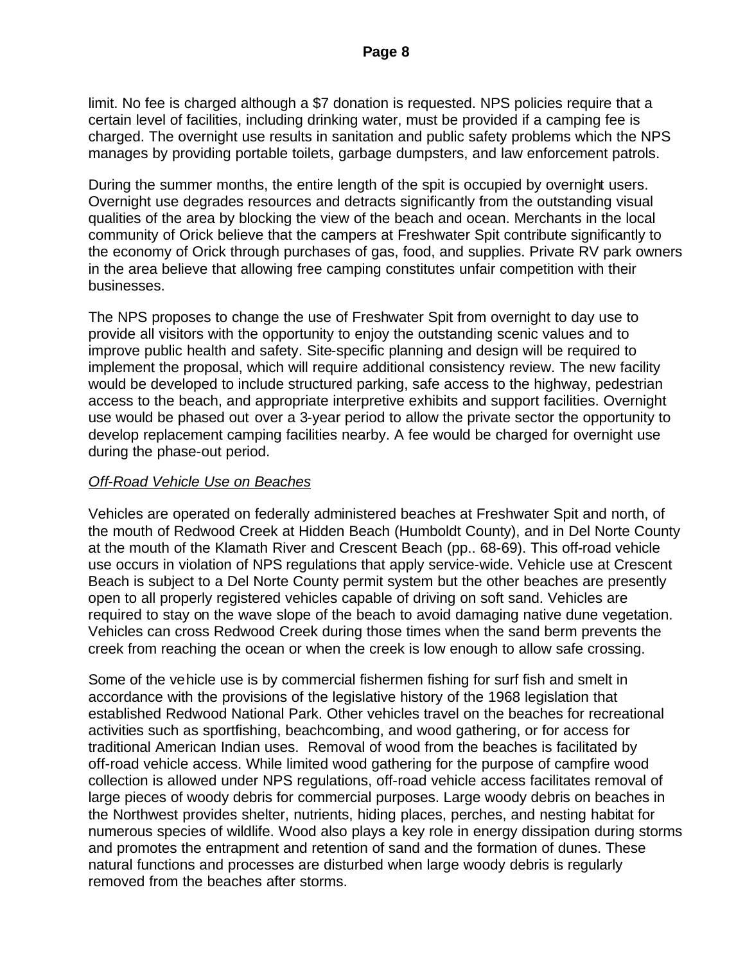limit. No fee is charged although a \$7 donation is requested. NPS policies require that a certain level of facilities, including drinking water, must be provided if a camping fee is charged. The overnight use results in sanitation and public safety problems which the NPS manages by providing portable toilets, garbage dumpsters, and law enforcement patrols.

During the summer months, the entire length of the spit is occupied by overnight users. Overnight use degrades resources and detracts significantly from the outstanding visual qualities of the area by blocking the view of the beach and ocean. Merchants in the local community of Orick believe that the campers at Freshwater Spit contribute significantly to the economy of Orick through purchases of gas, food, and supplies. Private RV park owners in the area believe that allowing free camping constitutes unfair competition with their businesses.

The NPS proposes to change the use of Freshwater Spit from overnight to day use to provide all visitors with the opportunity to enjoy the outstanding scenic values and to improve public health and safety. Site-specific planning and design will be required to implement the proposal, which will require additional consistency review. The new facility would be developed to include structured parking, safe access to the highway, pedestrian access to the beach, and appropriate interpretive exhibits and support facilities. Overnight use would be phased out over a 3-year period to allow the private sector the opportunity to develop replacement camping facilities nearby. A fee would be charged for overnight use during the phase-out period.

#### *Off-Road Vehicle Use on Beaches*

Vehicles are operated on federally administered beaches at Freshwater Spit and north, of the mouth of Redwood Creek at Hidden Beach (Humboldt County), and in Del Norte County at the mouth of the Klamath River and Crescent Beach (pp.. 68-69). This off-road vehicle use occurs in violation of NPS regulations that apply service-wide. Vehicle use at Crescent Beach is subject to a Del Norte County permit system but the other beaches are presently open to all properly registered vehicles capable of driving on soft sand. Vehicles are required to stay on the wave slope of the beach to avoid damaging native dune vegetation. Vehicles can cross Redwood Creek during those times when the sand berm prevents the creek from reaching the ocean or when the creek is low enough to allow safe crossing.

Some of the vehicle use is by commercial fishermen fishing for surf fish and smelt in accordance with the provisions of the legislative history of the 1968 legislation that established Redwood National Park. Other vehicles travel on the beaches for recreational activities such as sportfishing, beachcombing, and wood gathering, or for access for traditional American Indian uses. Removal of wood from the beaches is facilitated by off-road vehicle access. While limited wood gathering for the purpose of campfire wood collection is allowed under NPS regulations, off-road vehicle access facilitates removal of large pieces of woody debris for commercial purposes. Large woody debris on beaches in the Northwest provides shelter, nutrients, hiding places, perches, and nesting habitat for numerous species of wildlife. Wood also plays a key role in energy dissipation during storms and promotes the entrapment and retention of sand and the formation of dunes. These natural functions and processes are disturbed when large woody debris is regularly removed from the beaches after storms.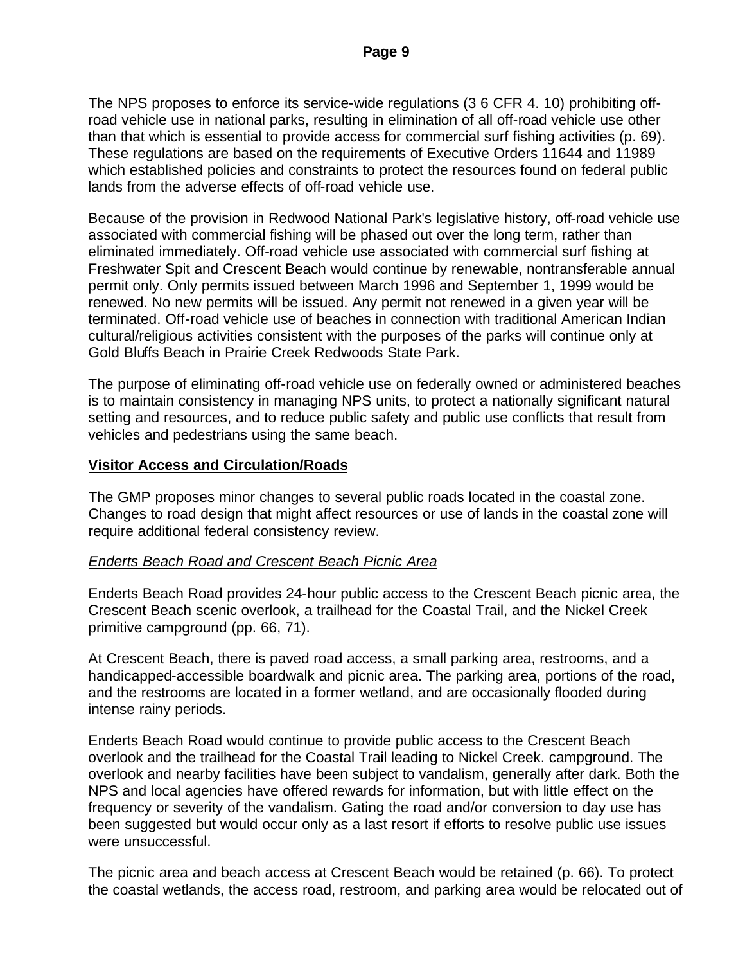The NPS proposes to enforce its service-wide regulations (3 6 CFR 4. 10) prohibiting offroad vehicle use in national parks, resulting in elimination of all off-road vehicle use other than that which is essential to provide access for commercial surf fishing activities (p. 69). These regulations are based on the requirements of Executive Orders 11644 and 11989 which established policies and constraints to protect the resources found on federal public lands from the adverse effects of off-road vehicle use.

Because of the provision in Redwood National Park's legislative history, off-road vehicle use associated with commercial fishing will be phased out over the long term, rather than eliminated immediately. Off-road vehicle use associated with commercial surf fishing at Freshwater Spit and Crescent Beach would continue by renewable, nontransferable annual permit only. Only permits issued between March 1996 and September 1, 1999 would be renewed. No new permits will be issued. Any permit not renewed in a given year will be terminated. Off-road vehicle use of beaches in connection with traditional American Indian cultural/religious activities consistent with the purposes of the parks will continue only at Gold Bluffs Beach in Prairie Creek Redwoods State Park.

The purpose of eliminating off-road vehicle use on federally owned or administered beaches is to maintain consistency in managing NPS units, to protect a nationally significant natural setting and resources, and to reduce public safety and public use conflicts that result from vehicles and pedestrians using the same beach.

#### **Visitor Access and Circulation/Roads**

The GMP proposes minor changes to several public roads located in the coastal zone. Changes to road design that might affect resources or use of lands in the coastal zone will require additional federal consistency review.

#### *Enderts Beach Road and Crescent Beach Picnic Area*

Enderts Beach Road provides 24-hour public access to the Crescent Beach picnic area, the Crescent Beach scenic overlook, a trailhead for the Coastal Trail, and the Nickel Creek primitive campground (pp. 66, 71).

At Crescent Beach, there is paved road access, a small parking area, restrooms, and a handicapped-accessible boardwalk and picnic area. The parking area, portions of the road, and the restrooms are located in a former wetland, and are occasionally flooded during intense rainy periods.

Enderts Beach Road would continue to provide public access to the Crescent Beach overlook and the trailhead for the Coastal Trail leading to Nickel Creek. campground. The overlook and nearby facilities have been subject to vandalism, generally after dark. Both the NPS and local agencies have offered rewards for information, but with little effect on the frequency or severity of the vandalism. Gating the road and/or conversion to day use has been suggested but would occur only as a last resort if efforts to resolve public use issues were unsuccessful.

The picnic area and beach access at Crescent Beach would be retained (p. 66). To protect the coastal wetlands, the access road, restroom, and parking area would be relocated out of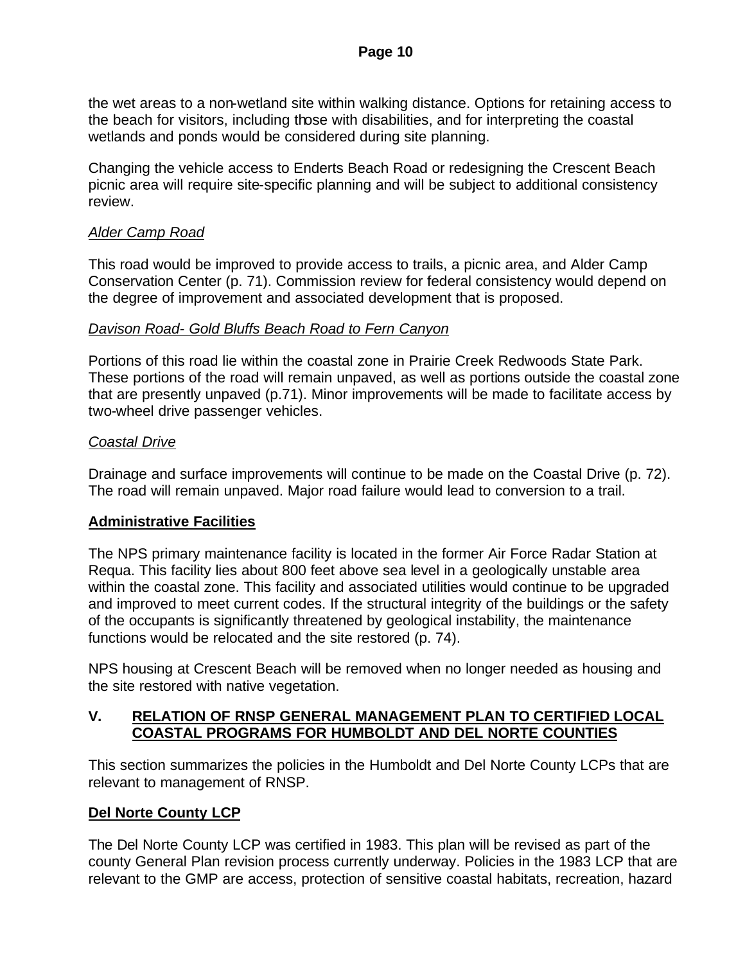the wet areas to a non-wetland site within walking distance. Options for retaining access to the beach for visitors, including those with disabilities, and for interpreting the coastal wetlands and ponds would be considered during site planning.

Changing the vehicle access to Enderts Beach Road or redesigning the Crescent Beach picnic area will require site-specific planning and will be subject to additional consistency review.

### *Alder Camp Road*

This road would be improved to provide access to trails, a picnic area, and Alder Camp Conservation Center (p. 71). Commission review for federal consistency would depend on the degree of improvement and associated development that is proposed.

#### *Davison Road- Gold Bluffs Beach Road to Fern Canyon*

Portions of this road lie within the coastal zone in Prairie Creek Redwoods State Park. These portions of the road will remain unpaved, as well as portions outside the coastal zone that are presently unpaved (p.71). Minor improvements will be made to facilitate access by two-wheel drive passenger vehicles.

### *Coastal Drive*

Drainage and surface improvements will continue to be made on the Coastal Drive (p. 72). The road will remain unpaved. Major road failure would lead to conversion to a trail.

## **Administrative Facilities**

The NPS primary maintenance facility is located in the former Air Force Radar Station at Requa. This facility lies about 800 feet above sea level in a geologically unstable area within the coastal zone. This facility and associated utilities would continue to be upgraded and improved to meet current codes. If the structural integrity of the buildings or the safety of the occupants is significantly threatened by geological instability, the maintenance functions would be relocated and the site restored (p. 74).

NPS housing at Crescent Beach will be removed when no longer needed as housing and the site restored with native vegetation.

### **V. RELATION OF RNSP GENERAL MANAGEMENT PLAN TO CERTIFIED LOCAL COASTAL PROGRAMS FOR HUMBOLDT AND DEL NORTE COUNTIES**

This section summarizes the policies in the Humboldt and Del Norte County LCPs that are relevant to management of RNSP.

## **Del Norte County LCP**

The Del Norte County LCP was certified in 1983. This plan will be revised as part of the county General Plan revision process currently underway. Policies in the 1983 LCP that are relevant to the GMP are access, protection of sensitive coastal habitats, recreation, hazard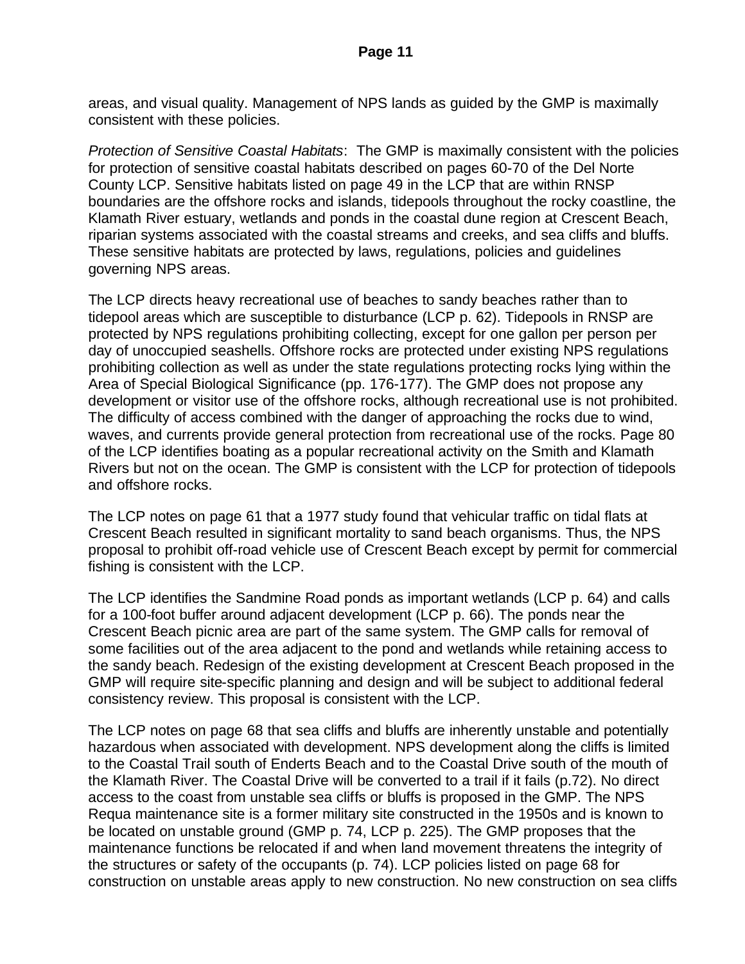areas, and visual quality. Management of NPS lands as guided by the GMP is maximally consistent with these policies.

*Protection of Sensitive Coastal Habitats*: The GMP is maximally consistent with the policies for protection of sensitive coastal habitats described on pages 60-70 of the Del Norte County LCP. Sensitive habitats listed on page 49 in the LCP that are within RNSP boundaries are the offshore rocks and islands, tidepools throughout the rocky coastline, the Klamath River estuary, wetlands and ponds in the coastal dune region at Crescent Beach, riparian systems associated with the coastal streams and creeks, and sea cliffs and bluffs. These sensitive habitats are protected by laws, regulations, policies and guidelines governing NPS areas.

The LCP directs heavy recreational use of beaches to sandy beaches rather than to tidepool areas which are susceptible to disturbance (LCP p. 62). Tidepools in RNSP are protected by NPS regulations prohibiting collecting, except for one gallon per person per day of unoccupied seashells. Offshore rocks are protected under existing NPS regulations prohibiting collection as well as under the state regulations protecting rocks lying within the Area of Special Biological Significance (pp. 176-177). The GMP does not propose any development or visitor use of the offshore rocks, although recreational use is not prohibited. The difficulty of access combined with the danger of approaching the rocks due to wind, waves, and currents provide general protection from recreational use of the rocks. Page 80 of the LCP identifies boating as a popular recreational activity on the Smith and Klamath Rivers but not on the ocean. The GMP is consistent with the LCP for protection of tidepools and offshore rocks.

The LCP notes on page 61 that a 1977 study found that vehicular traffic on tidal flats at Crescent Beach resulted in significant mortality to sand beach organisms. Thus, the NPS proposal to prohibit off-road vehicle use of Crescent Beach except by permit for commercial fishing is consistent with the LCP.

The LCP identifies the Sandmine Road ponds as important wetlands (LCP p. 64) and calls for a 100-foot buffer around adjacent development (LCP p. 66). The ponds near the Crescent Beach picnic area are part of the same system. The GMP calls for removal of some facilities out of the area adjacent to the pond and wetlands while retaining access to the sandy beach. Redesign of the existing development at Crescent Beach proposed in the GMP will require site-specific planning and design and will be subject to additional federal consistency review. This proposal is consistent with the LCP.

The LCP notes on page 68 that sea cliffs and bluffs are inherently unstable and potentially hazardous when associated with development. NPS development along the cliffs is limited to the Coastal Trail south of Enderts Beach and to the Coastal Drive south of the mouth of the Klamath River. The Coastal Drive will be converted to a trail if it fails (p.72). No direct access to the coast from unstable sea cliffs or bluffs is proposed in the GMP. The NPS Requa maintenance site is a former military site constructed in the 1950s and is known to be located on unstable ground (GMP p. 74, LCP p. 225). The GMP proposes that the maintenance functions be relocated if and when land movement threatens the integrity of the structures or safety of the occupants (p. 74). LCP policies listed on page 68 for construction on unstable areas apply to new construction. No new construction on sea cliffs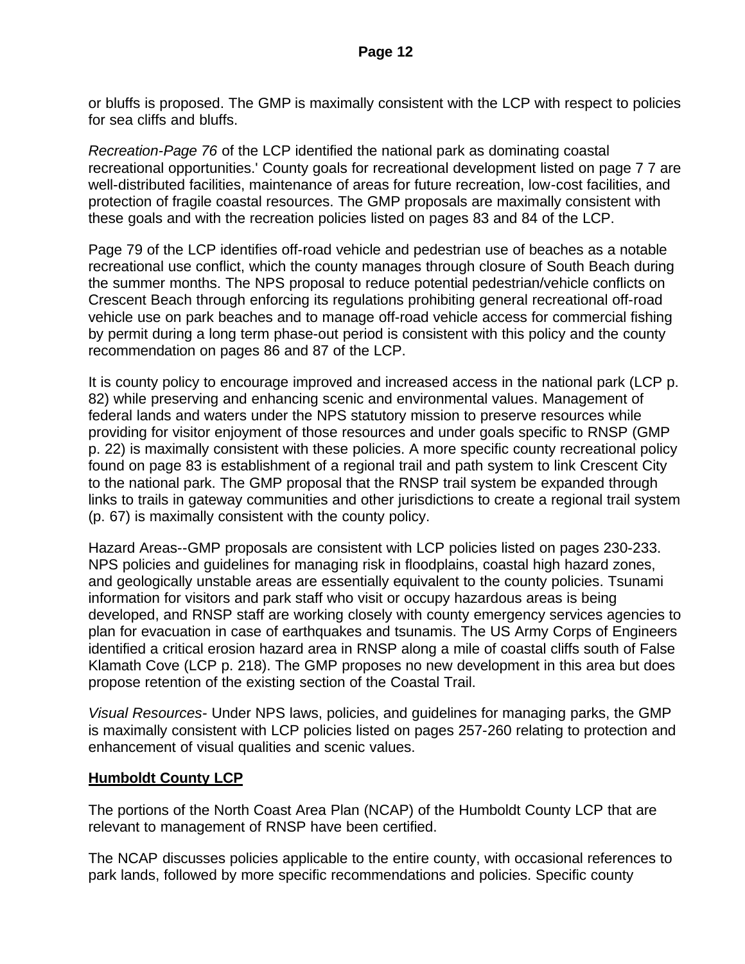or bluffs is proposed. The GMP is maximally consistent with the LCP with respect to policies for sea cliffs and bluffs.

*Recreation-Page 76* of the LCP identified the national park as dominating coastal recreational opportunities.' County goals for recreational development listed on page 7 7 are well-distributed facilities, maintenance of areas for future recreation, low-cost facilities, and protection of fragile coastal resources. The GMP proposals are maximally consistent with these goals and with the recreation policies listed on pages 83 and 84 of the LCP.

Page 79 of the LCP identifies off-road vehicle and pedestrian use of beaches as a notable recreational use conflict, which the county manages through closure of South Beach during the summer months. The NPS proposal to reduce potential pedestrian/vehicle conflicts on Crescent Beach through enforcing its regulations prohibiting general recreational off-road vehicle use on park beaches and to manage off-road vehicle access for commercial fishing by permit during a long term phase-out period is consistent with this policy and the county recommendation on pages 86 and 87 of the LCP.

It is county policy to encourage improved and increased access in the national park (LCP p. 82) while preserving and enhancing scenic and environmental values. Management of federal lands and waters under the NPS statutory mission to preserve resources while providing for visitor enjoyment of those resources and under goals specific to RNSP (GMP p. 22) is maximally consistent with these policies. A more specific county recreational policy found on page 83 is establishment of a regional trail and path system to link Crescent City to the national park. The GMP proposal that the RNSP trail system be expanded through links to trails in gateway communities and other jurisdictions to create a regional trail system (p. 67) is maximally consistent with the county policy.

Hazard Areas--GMP proposals are consistent with LCP policies listed on pages 230-233. NPS policies and guidelines for managing risk in floodplains, coastal high hazard zones, and geologically unstable areas are essentially equivalent to the county policies. Tsunami information for visitors and park staff who visit or occupy hazardous areas is being developed, and RNSP staff are working closely with county emergency services agencies to plan for evacuation in case of earthquakes and tsunamis. The US Army Corps of Engineers identified a critical erosion hazard area in RNSP along a mile of coastal cliffs south of False Klamath Cove (LCP p. 218). The GMP proposes no new development in this area but does propose retention of the existing section of the Coastal Trail.

*Visual Resources-* Under NPS laws, policies, and guidelines for managing parks, the GMP is maximally consistent with LCP policies listed on pages 257-260 relating to protection and enhancement of visual qualities and scenic values.

## **Humboldt County LCP**

The portions of the North Coast Area Plan (NCAP) of the Humboldt County LCP that are relevant to management of RNSP have been certified.

The NCAP discusses policies applicable to the entire county, with occasional references to park lands, followed by more specific recommendations and policies. Specific county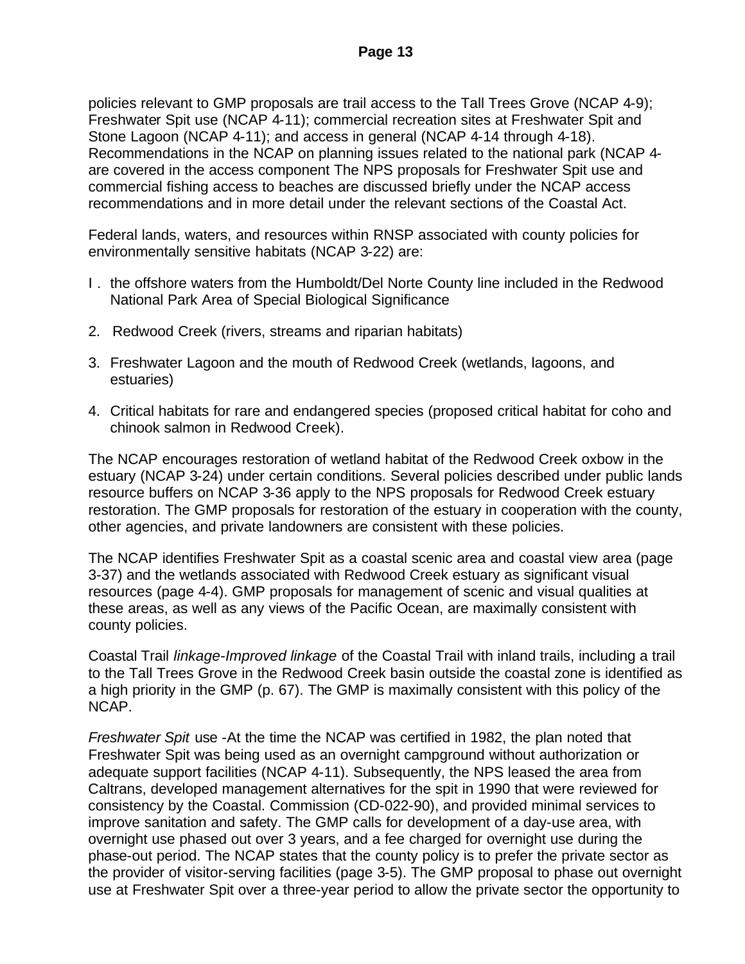policies relevant to GMP proposals are trail access to the Tall Trees Grove (NCAP 4-9); Freshwater Spit use (NCAP 4-11); commercial recreation sites at Freshwater Spit and Stone Lagoon (NCAP 4-11); and access in general (NCAP 4-14 through 4-18). Recommendations in the NCAP on planning issues related to the national park (NCAP 4 are covered in the access component The NPS proposals for Freshwater Spit use and commercial fishing access to beaches are discussed briefly under the NCAP access recommendations and in more detail under the relevant sections of the Coastal Act.

Federal lands, waters, and resources within RNSP associated with county policies for environmentally sensitive habitats (NCAP 3-22) are:

- I . the offshore waters from the Humboldt/Del Norte County line included in the Redwood National Park Area of Special Biological Significance
- 2. Redwood Creek (rivers, streams and riparian habitats)
- 3. Freshwater Lagoon and the mouth of Redwood Creek (wetlands, lagoons, and estuaries)
- 4. Critical habitats for rare and endangered species (proposed critical habitat for coho and chinook salmon in Redwood Creek).

The NCAP encourages restoration of wetland habitat of the Redwood Creek oxbow in the estuary (NCAP 3-24) under certain conditions. Several policies described under public lands resource buffers on NCAP 3-36 apply to the NPS proposals for Redwood Creek estuary restoration. The GMP proposals for restoration of the estuary in cooperation with the county, other agencies, and private landowners are consistent with these policies.

The NCAP identifies Freshwater Spit as a coastal scenic area and coastal view area (page 3-37) and the wetlands associated with Redwood Creek estuary as significant visual resources (page 4-4). GMP proposals for management of scenic and visual qualities at these areas, as well as any views of the Pacific Ocean, are maximally consistent with county policies.

Coastal Trail *linkage-Improved linkage* of the Coastal Trail with inland trails, including a trail to the Tall Trees Grove in the Redwood Creek basin outside the coastal zone is identified as a high priority in the GMP (p. 67). The GMP is maximally consistent with this policy of the NCAP.

*Freshwater Spit* use -At the time the NCAP was certified in 1982, the plan noted that Freshwater Spit was being used as an overnight campground without authorization or adequate support facilities (NCAP 4-11). Subsequently, the NPS leased the area from Caltrans, developed management alternatives for the spit in 1990 that were reviewed for consistency by the Coastal. Commission (CD-022-90), and provided minimal services to improve sanitation and safety. The GMP calls for development of a day-use area, with overnight use phased out over 3 years, and a fee charged for overnight use during the phase-out period. The NCAP states that the county policy is to prefer the private sector as the provider of visitor-serving facilities (page 3-5). The GMP proposal to phase out overnight use at Freshwater Spit over a three-year period to allow the private sector the opportunity to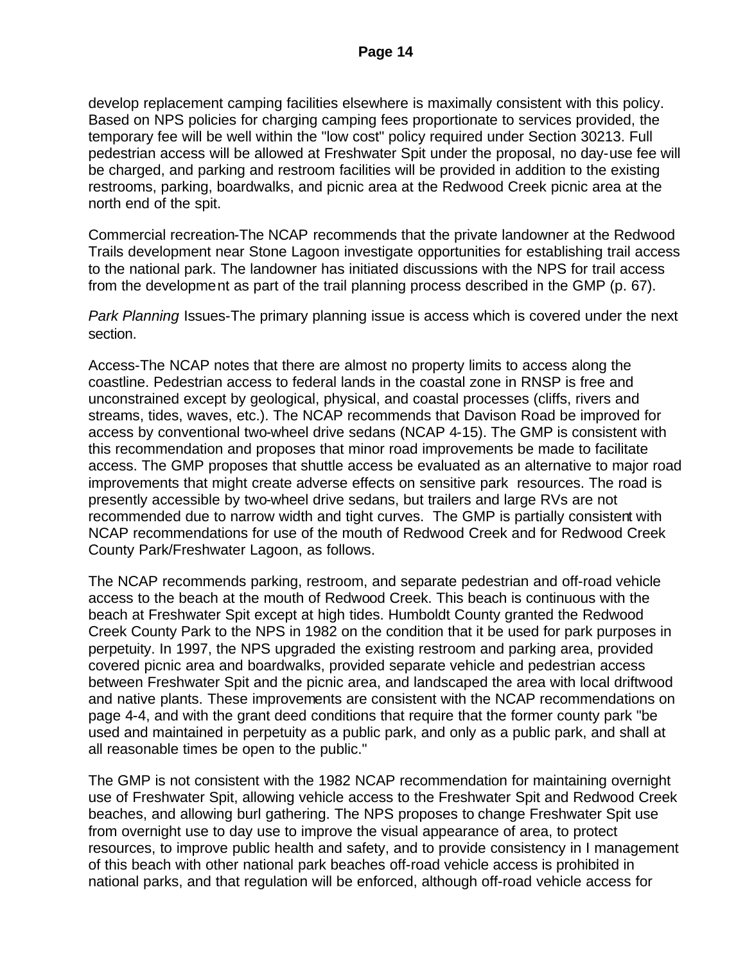develop replacement camping facilities elsewhere is maximally consistent with this policy. Based on NPS policies for charging camping fees proportionate to services provided, the temporary fee will be well within the "low cost" policy required under Section 30213. Full pedestrian access will be allowed at Freshwater Spit under the proposal, no day-use fee will be charged, and parking and restroom facilities will be provided in addition to the existing restrooms, parking, boardwalks, and picnic area at the Redwood Creek picnic area at the north end of the spit.

Commercial recreation-The NCAP recommends that the private landowner at the Redwood Trails development near Stone Lagoon investigate opportunities for establishing trail access to the national park. The landowner has initiated discussions with the NPS for trail access from the development as part of the trail planning process described in the GMP (p. 67).

*Park Planning* Issues-The primary planning issue is access which is covered under the next section.

Access-The NCAP notes that there are almost no property limits to access along the coastline. Pedestrian access to federal lands in the coastal zone in RNSP is free and unconstrained except by geological, physical, and coastal processes (cliffs, rivers and streams, tides, waves, etc.). The NCAP recommends that Davison Road be improved for access by conventional two-wheel drive sedans (NCAP 4-15). The GMP is consistent with this recommendation and proposes that minor road improvements be made to facilitate access. The GMP proposes that shuttle access be evaluated as an alternative to major road improvements that might create adverse effects on sensitive park resources. The road is presently accessible by two-wheel drive sedans, but trailers and large RVs are not recommended due to narrow width and tight curves. The GMP is partially consistent with NCAP recommendations for use of the mouth of Redwood Creek and for Redwood Creek County Park/Freshwater Lagoon, as follows.

The NCAP recommends parking, restroom, and separate pedestrian and off-road vehicle access to the beach at the mouth of Redwood Creek. This beach is continuous with the beach at Freshwater Spit except at high tides. Humboldt County granted the Redwood Creek County Park to the NPS in 1982 on the condition that it be used for park purposes in perpetuity. In 1997, the NPS upgraded the existing restroom and parking area, provided covered picnic area and boardwalks, provided separate vehicle and pedestrian access between Freshwater Spit and the picnic area, and landscaped the area with local driftwood and native plants. These improvements are consistent with the NCAP recommendations on page 4-4, and with the grant deed conditions that require that the former county park "be used and maintained in perpetuity as a public park, and only as a public park, and shall at all reasonable times be open to the public."

The GMP is not consistent with the 1982 NCAP recommendation for maintaining overnight use of Freshwater Spit, allowing vehicle access to the Freshwater Spit and Redwood Creek beaches, and allowing burl gathering. The NPS proposes to change Freshwater Spit use from overnight use to day use to improve the visual appearance of area, to protect resources, to improve public health and safety, and to provide consistency in I management of this beach with other national park beaches off-road vehicle access is prohibited in national parks, and that regulation will be enforced, although off-road vehicle access for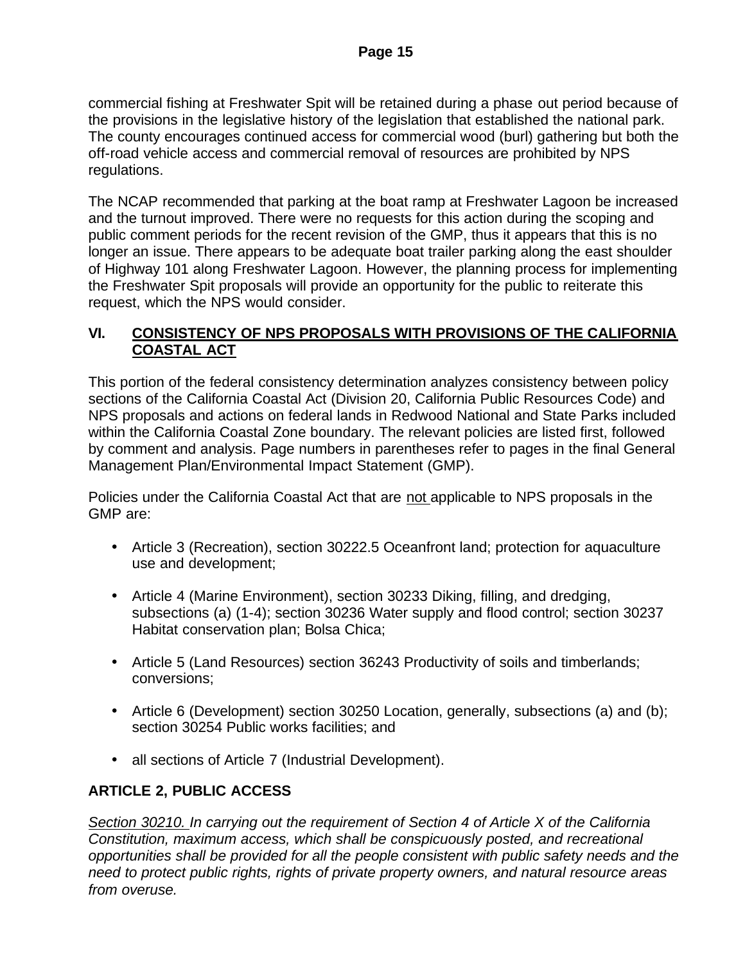commercial fishing at Freshwater Spit will be retained during a phase out period because of the provisions in the legislative history of the legislation that established the national park. The county encourages continued access for commercial wood (burl) gathering but both the off-road vehicle access and commercial removal of resources are prohibited by NPS regulations.

The NCAP recommended that parking at the boat ramp at Freshwater Lagoon be increased and the turnout improved. There were no requests for this action during the scoping and public comment periods for the recent revision of the GMP, thus it appears that this is no longer an issue. There appears to be adequate boat trailer parking along the east shoulder of Highway 101 along Freshwater Lagoon. However, the planning process for implementing the Freshwater Spit proposals will provide an opportunity for the public to reiterate this request, which the NPS would consider.

## **VI. CONSISTENCY OF NPS PROPOSALS WITH PROVISIONS OF THE CALIFORNIA COASTAL ACT**

This portion of the federal consistency determination analyzes consistency between policy sections of the California Coastal Act (Division 20, California Public Resources Code) and NPS proposals and actions on federal lands in Redwood National and State Parks included within the California Coastal Zone boundary. The relevant policies are listed first, followed by comment and analysis. Page numbers in parentheses refer to pages in the final General Management Plan/Environmental Impact Statement (GMP).

Policies under the California Coastal Act that are not applicable to NPS proposals in the GMP are:

- Article 3 (Recreation), section 30222.5 Oceanfront land; protection for aquaculture use and development;
- Article 4 (Marine Environment), section 30233 Diking, filling, and dredging, subsections (a) (1-4); section 30236 Water supply and flood control; section 30237 Habitat conservation plan; Bolsa Chica;
- Article 5 (Land Resources) section 36243 Productivity of soils and timberlands; conversions;
- Article 6 (Development) section 30250 Location, generally, subsections (a) and (b); section 30254 Public works facilities; and
- all sections of Article 7 (Industrial Development).

# **ARTICLE 2, PUBLIC ACCESS**

*Section 30210. In carrying out the requirement of Section 4 of Article X of the California Constitution, maximum access, which shall be conspicuously posted, and recreational opportunities shall be provided for all the people consistent with public safety needs and the need to protect public rights, rights of private property owners, and natural resource areas from overuse.*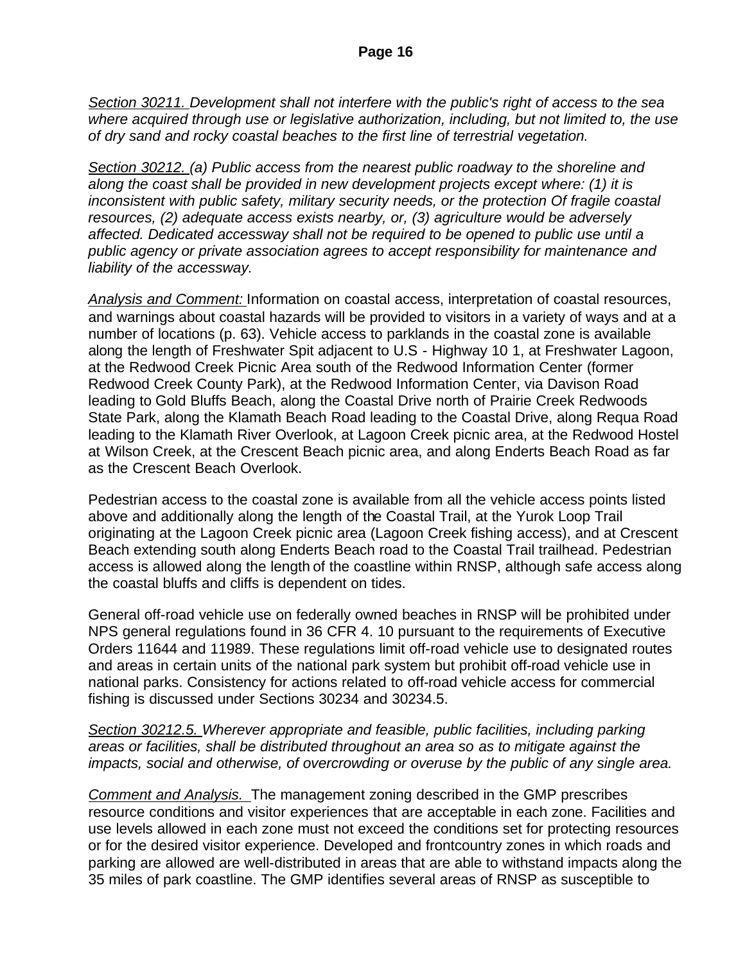*Section 30211. Development shall not interfere with the public's right of access to the sea where acquired through use or legislative authorization, including, but not limited to, the use of dry sand and rocky coastal beaches to the first line of terrestrial vegetation.*

*Section 30212. (a) Public access from the nearest public roadway to the shoreline and along the coast shall be provided in new development projects except where: (1) it is inconsistent with public safety, military security needs, or the protection Of fragile coastal resources, (2) adequate access exists nearby, or, (3) agriculture would be adversely affected. Dedicated accessway shall not be required to be opened to public use until a public agency or private association agrees to accept responsibility for maintenance and liability of the accessway.*

*Analysis and Comment:* Information on coastal access, interpretation of coastal resources, and warnings about coastal hazards will be provided to visitors in a variety of ways and at a number of locations (p. 63). Vehicle access to parklands in the coastal zone is available along the length of Freshwater Spit adjacent to U.S - Highway 10 1, at Freshwater Lagoon, at the Redwood Creek Picnic Area south of the Redwood Information Center (former Redwood Creek County Park), at the Redwood Information Center, via Davison Road leading to Gold Bluffs Beach, along the Coastal Drive north of Prairie Creek Redwoods State Park, along the Klamath Beach Road leading to the Coastal Drive, along Requa Road leading to the Klamath River Overlook, at Lagoon Creek picnic area, at the Redwood Hostel at Wilson Creek, at the Crescent Beach picnic area, and along Enderts Beach Road as far as the Crescent Beach Overlook.

Pedestrian access to the coastal zone is available from all the vehicle access points listed above and additionally along the length of the Coastal Trail, at the Yurok Loop Trail originating at the Lagoon Creek picnic area (Lagoon Creek fishing access), and at Crescent Beach extending south along Enderts Beach road to the Coastal Trail trailhead. Pedestrian access is allowed along the length of the coastline within RNSP, although safe access along the coastal bluffs and cliffs is dependent on tides.

General off-road vehicle use on federally owned beaches in RNSP will be prohibited under NPS general regulations found in 36 CFR 4. 10 pursuant to the requirements of Executive Orders 11644 and 11989. These regulations limit off-road vehicle use to designated routes and areas in certain units of the national park system but prohibit off-road vehicle use in national parks. Consistency for actions related to off-road vehicle access for commercial fishing is discussed under Sections 30234 and 30234.5.

*Section 30212.5. Wherever appropriate and feasible, public facilities, including parking areas or facilities, shall be distributed throughout an area so as to mitigate against the impacts, social and otherwise, of overcrowding or overuse by the public of any single area.*

*Comment and Analysis.* The management zoning described in the GMP prescribes resource conditions and visitor experiences that are acceptable in each zone. Facilities and use levels allowed in each zone must not exceed the conditions set for protecting resources or for the desired visitor experience. Developed and frontcountry zones in which roads and parking are allowed are well-distributed in areas that are able to withstand impacts along the 35 miles of park coastline. The GMP identifies several areas of RNSP as susceptible to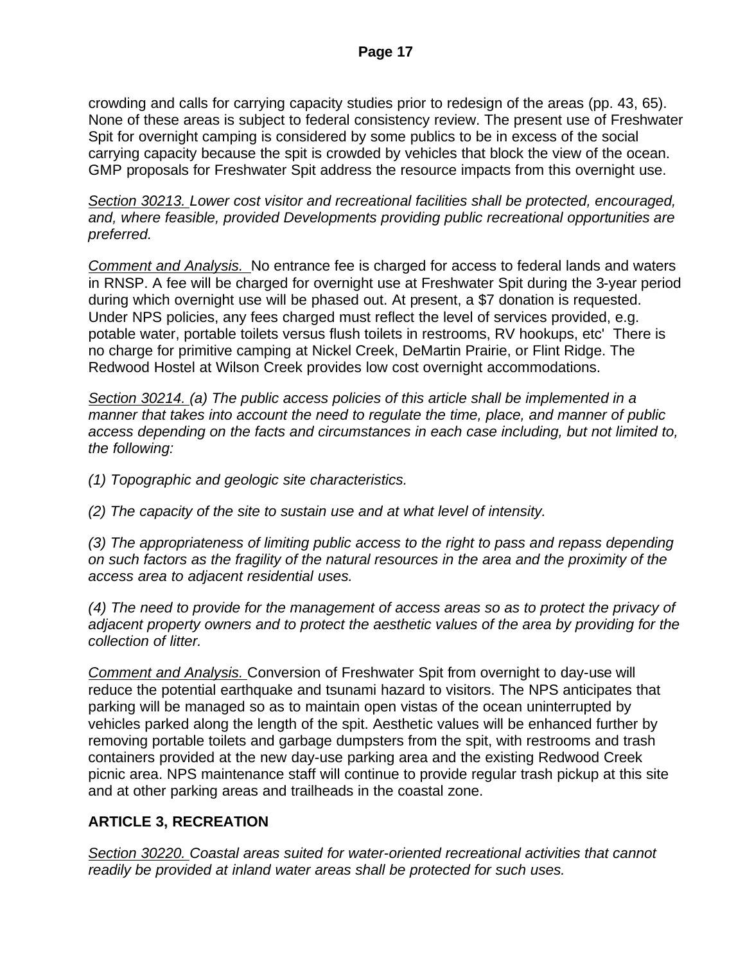crowding and calls for carrying capacity studies prior to redesign of the areas (pp. 43, 65). None of these areas is subject to federal consistency review. The present use of Freshwater Spit for overnight camping is considered by some publics to be in excess of the social carrying capacity because the spit is crowded by vehicles that block the view of the ocean. GMP proposals for Freshwater Spit address the resource impacts from this overnight use.

*Section 30213. Lower cost visitor and recreational facilities shall be protected, encouraged, and, where feasible, provided Developments providing public recreational opportunities are preferred.*

*Comment and Analysis.* No entrance fee is charged for access to federal lands and waters in RNSP. A fee will be charged for overnight use at Freshwater Spit during the 3-year period during which overnight use will be phased out. At present, a \$7 donation is requested. Under NPS policies, any fees charged must reflect the level of services provided, e.g. potable water, portable toilets versus flush toilets in restrooms, RV hookups, etc' There is no charge for primitive camping at Nickel Creek, DeMartin Prairie, or Flint Ridge. The Redwood Hostel at Wilson Creek provides low cost overnight accommodations.

*Section 30214. (a) The public access policies of this article shall be implemented in a manner that takes into account the need to regulate the time, place, and manner of public access depending on the facts and circumstances in each case including, but not limited to, the following:*

*(1) Topographic and geologic site characteristics.*

*(2) The capacity of the site to sustain use and at what level of intensity.*

*(3) The appropriateness of limiting public access to the right to pass and repass depending on such factors as the fragility of the natural resources in the area and the proximity of the access area to adjacent residential uses.*

*(4) The need to provide for the management of access areas so as to protect the privacy of adjacent property owners and to protect the aesthetic values of the area by providing for the collection of litter.*

*Comment and Analysis.* Conversion of Freshwater Spit from overnight to day-use will reduce the potential earthquake and tsunami hazard to visitors. The NPS anticipates that parking will be managed so as to maintain open vistas of the ocean uninterrupted by vehicles parked along the length of the spit. Aesthetic values will be enhanced further by removing portable toilets and garbage dumpsters from the spit, with restrooms and trash containers provided at the new day-use parking area and the existing Redwood Creek picnic area. NPS maintenance staff will continue to provide regular trash pickup at this site and at other parking areas and trailheads in the coastal zone.

## **ARTICLE 3, RECREATION**

*Section 30220. Coastal areas suited for water-oriented recreational activities that cannot readily be provided at inland water areas shall be protected for such uses.*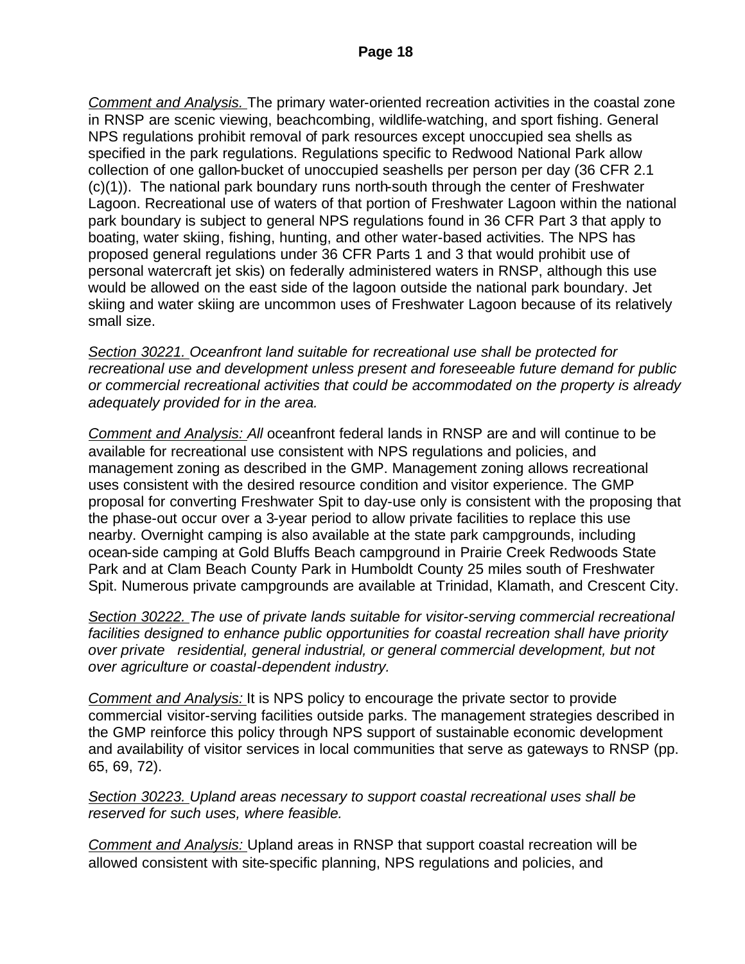*Comment and Analysis.* The primary water-oriented recreation activities in the coastal zone in RNSP are scenic viewing, beachcombing, wildlife-watching, and sport fishing. General NPS regulations prohibit removal of park resources except unoccupied sea shells as specified in the park regulations. Regulations specific to Redwood National Park allow collection of one gallon-bucket of unoccupied seashells per person per day (36 CFR 2.1 (c)(1)). The national park boundary runs north-south through the center of Freshwater Lagoon. Recreational use of waters of that portion of Freshwater Lagoon within the national park boundary is subject to general NPS regulations found in 36 CFR Part 3 that apply to boating, water skiing, fishing, hunting, and other water-based activities. The NPS has proposed general regulations under 36 CFR Parts 1 and 3 that would prohibit use of personal watercraft jet skis) on federally administered waters in RNSP, although this use would be allowed on the east side of the lagoon outside the national park boundary. Jet skiing and water skiing are uncommon uses of Freshwater Lagoon because of its relatively small size.

*Section 30221. Oceanfront land suitable for recreational use shall be protected for recreational use and development unless present and foreseeable future demand for public or commercial recreational activities that could be accommodated on the property is already adequately provided for in the area.* 

*Comment and Analysis: All* oceanfront federal lands in RNSP are and will continue to be available for recreational use consistent with NPS regulations and policies, and management zoning as described in the GMP. Management zoning allows recreational uses consistent with the desired resource condition and visitor experience. The GMP proposal for converting Freshwater Spit to day-use only is consistent with the proposing that the phase-out occur over a 3-year period to allow private facilities to replace this use nearby. Overnight camping is also available at the state park campgrounds, including ocean-side camping at Gold Bluffs Beach campground in Prairie Creek Redwoods State Park and at Clam Beach County Park in Humboldt County 25 miles south of Freshwater Spit. Numerous private campgrounds are available at Trinidad, Klamath, and Crescent City.

*Section 30222. The use of private lands suitable for visitor-serving commercial recreational facilities designed to enhance public opportunities for coastal recreation shall have priority over private residential, general industrial, or general commercial development, but not over agriculture or coastal-dependent industry.*

*Comment and Analysis:* It is NPS policy to encourage the private sector to provide commercial visitor-serving facilities outside parks. The management strategies described in the GMP reinforce this policy through NPS support of sustainable economic development and availability of visitor services in local communities that serve as gateways to RNSP (pp. 65, 69, 72).

*Section 30223. Upland areas necessary to support coastal recreational uses shall be reserved for such uses, where feasible.*

*Comment and Analysis:* Upland areas in RNSP that support coastal recreation will be allowed consistent with site-specific planning, NPS regulations and policies, and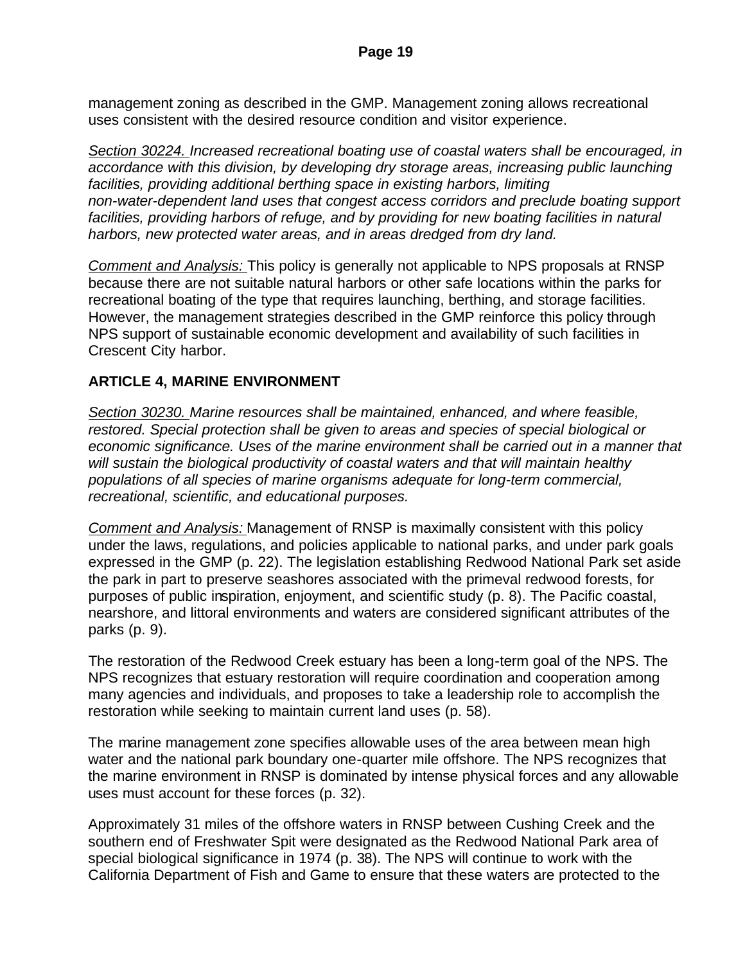management zoning as described in the GMP. Management zoning allows recreational uses consistent with the desired resource condition and visitor experience.

*Section 30224. Increased recreational boating use of coastal waters shall be encouraged, in accordance with this division, by developing dry storage areas, increasing public launching*  facilities, providing additional berthing space in existing harbors, limiting *non-water-dependent land uses that congest access corridors and preclude boating support*  facilities, providing harbors of refuge, and by providing for new boating facilities in natural *harbors, new protected water areas, and in areas dredged from dry land.*

*Comment and Analysis:* This policy is generally not applicable to NPS proposals at RNSP because there are not suitable natural harbors or other safe locations within the parks for recreational boating of the type that requires launching, berthing, and storage facilities. However, the management strategies described in the GMP reinforce this policy through NPS support of sustainable economic development and availability of such facilities in Crescent City harbor.

## **ARTICLE 4, MARINE ENVIRONMENT**

*Section 30230. Marine resources shall be maintained, enhanced, and where feasible, restored. Special protection shall be given to areas and species of special biological or economic significance. Uses of the marine environment shall be carried out in a manner that will sustain the biological productivity of coastal waters and that will maintain healthy populations of all species of marine organisms adequate for long-term commercial, recreational, scientific, and educational purposes.*

*Comment and Analysis:* Management of RNSP is maximally consistent with this policy under the laws, regulations, and policies applicable to national parks, and under park goals expressed in the GMP (p. 22). The legislation establishing Redwood National Park set aside the park in part to preserve seashores associated with the primeval redwood forests, for purposes of public inspiration, enjoyment, and scientific study (p. 8). The Pacific coastal, nearshore, and littoral environments and waters are considered significant attributes of the parks (p. 9).

The restoration of the Redwood Creek estuary has been a long-term goal of the NPS. The NPS recognizes that estuary restoration will require coordination and cooperation among many agencies and individuals, and proposes to take a leadership role to accomplish the restoration while seeking to maintain current land uses (p. 58).

The marine management zone specifies allowable uses of the area between mean high water and the national park boundary one-quarter mile offshore. The NPS recognizes that the marine environment in RNSP is dominated by intense physical forces and any allowable uses must account for these forces (p. 32).

Approximately 31 miles of the offshore waters in RNSP between Cushing Creek and the southern end of Freshwater Spit were designated as the Redwood National Park area of special biological significance in 1974 (p. 38). The NPS will continue to work with the California Department of Fish and Game to ensure that these waters are protected to the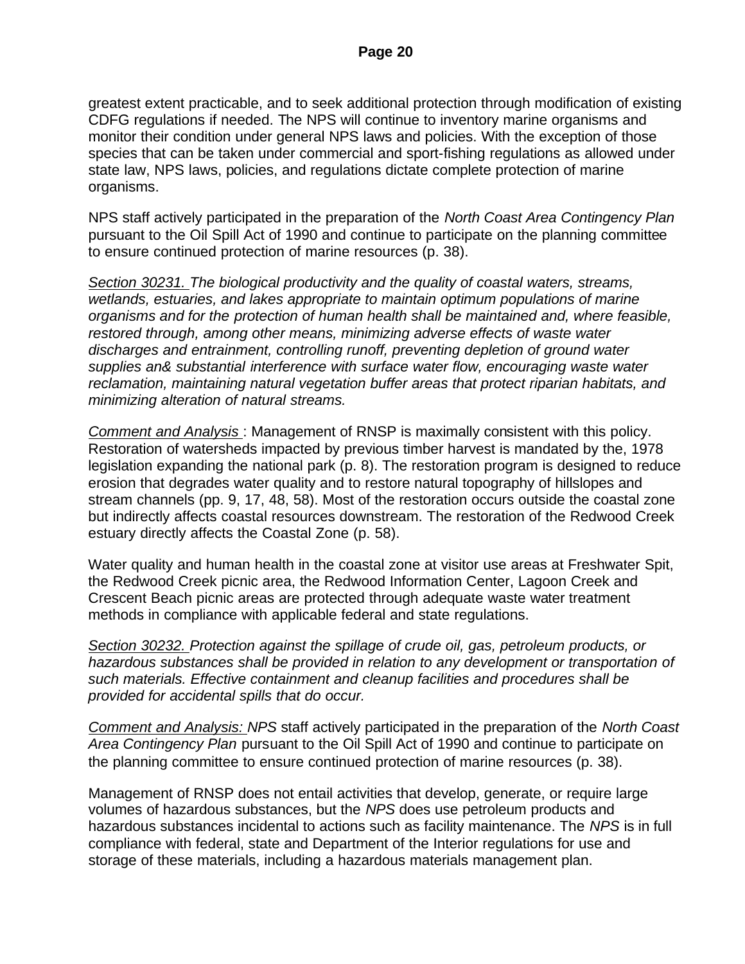greatest extent practicable, and to seek additional protection through modification of existing CDFG regulations if needed. The NPS will continue to inventory marine organisms and monitor their condition under general NPS laws and policies. With the exception of those species that can be taken under commercial and sport-fishing regulations as allowed under state law, NPS laws, policies, and regulations dictate complete protection of marine organisms.

NPS staff actively participated in the preparation of the *North Coast Area Contingency Plan*  pursuant to the Oil Spill Act of 1990 and continue to participate on the planning committee to ensure continued protection of marine resources (p. 38).

*Section 30231. The biological productivity and the quality of coastal waters, streams, wetlands, estuaries, and lakes appropriate to maintain optimum populations of marine organisms and for the protection of human health shall be maintained and, where feasible, restored through, among other means, minimizing adverse effects of waste water discharges and entrainment, controlling runoff, preventing depletion of ground water supplies an& substantial interference with surface water flow, encouraging waste water reclamation, maintaining natural vegetation buffer areas that protect riparian habitats, and minimizing alteration of natural streams.*

*Comment and Analysis* : Management of RNSP is maximally consistent with this policy. Restoration of watersheds impacted by previous timber harvest is mandated by the, 1978 legislation expanding the national park (p. 8). The restoration program is designed to reduce erosion that degrades water quality and to restore natural topography of hillslopes and stream channels (pp. 9, 17, 48, 58). Most of the restoration occurs outside the coastal zone but indirectly affects coastal resources downstream. The restoration of the Redwood Creek estuary directly affects the Coastal Zone (p. 58).

Water quality and human health in the coastal zone at visitor use areas at Freshwater Spit, the Redwood Creek picnic area, the Redwood Information Center, Lagoon Creek and Crescent Beach picnic areas are protected through adequate waste water treatment methods in compliance with applicable federal and state regulations.

*Section 30232. Protection against the spillage of crude oil, gas, petroleum products, or hazardous substances shall be provided in relation to any development or transportation of such materials. Effective containment and cleanup facilities and procedures shall be provided for accidental spills that do occur.*

*Comment and Analysis: NPS* staff actively participated in the preparation of the *North Coast Area Contingency Plan* pursuant to the Oil Spill Act of 1990 and continue to participate on the planning committee to ensure continued protection of marine resources (p. 38).

Management of RNSP does not entail activities that develop, generate, or require large volumes of hazardous substances, but the *NPS* does use petroleum products and hazardous substances incidental to actions such as facility maintenance. The *NPS* is in full compliance with federal, state and Department of the Interior regulations for use and storage of these materials, including a hazardous materials management plan.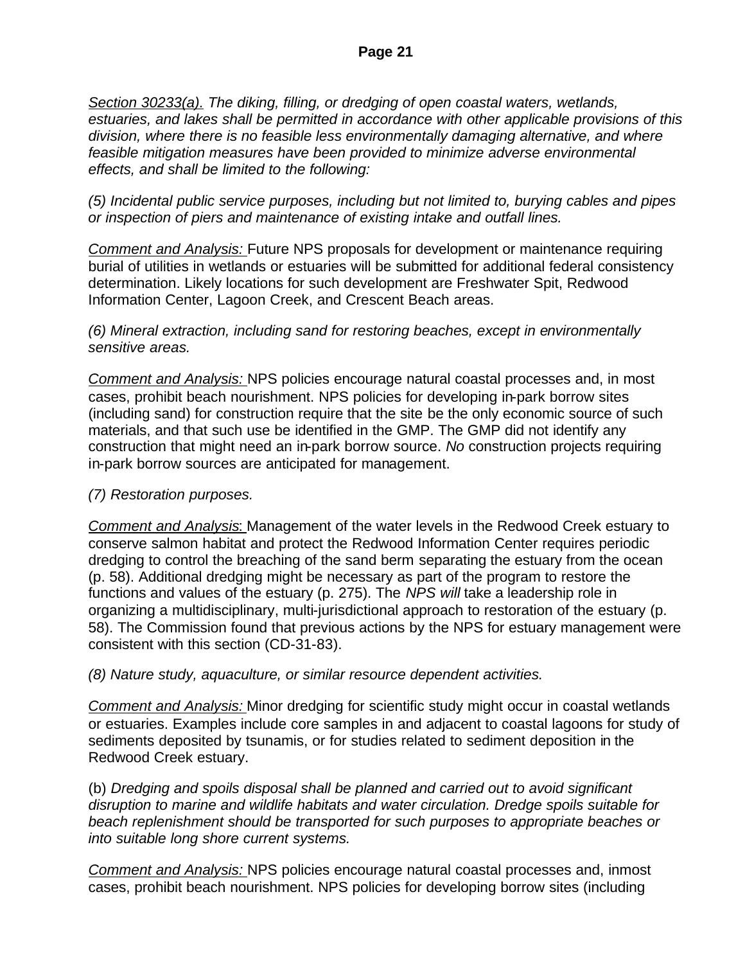*Section 30233(a). The diking, filling, or dredging of open coastal waters, wetlands, estuaries, and lakes shall be permitted in accordance with other applicable provisions of this division, where there is no feasible less environmentally damaging alternative, and where feasible mitigation measures have been provided to minimize adverse environmental effects, and shall be limited to the following:*

*(5) Incidental public service purposes, including but not limited to, burying cables and pipes or inspection of piers and maintenance of existing intake and outfall lines.*

*Comment and Analysis:* Future NPS proposals for development or maintenance requiring burial of utilities in wetlands or estuaries will be submitted for additional federal consistency determination. Likely locations for such development are Freshwater Spit, Redwood Information Center, Lagoon Creek, and Crescent Beach areas.

#### *(6) Mineral extraction, including sand for restoring beaches, except in environmentally sensitive areas.*

*Comment and Analysis:* NPS policies encourage natural coastal processes and, in most cases, prohibit beach nourishment. NPS policies for developing in-park borrow sites (including sand) for construction require that the site be the only economic source of such materials, and that such use be identified in the GMP. The GMP did not identify any construction that might need an in-park borrow source. *No* construction projects requiring in-park borrow sources are anticipated for management.

## *(7) Restoration purposes.*

*Comment and Analysis*: Management of the water levels in the Redwood Creek estuary to conserve salmon habitat and protect the Redwood Information Center requires periodic dredging to control the breaching of the sand berm separating the estuary from the ocean (p. 58). Additional dredging might be necessary as part of the program to restore the functions and values of the estuary (p. 275). The *NPS will* take a leadership role in organizing a multidisciplinary, multi-jurisdictional approach to restoration of the estuary (p. 58). The Commission found that previous actions by the NPS for estuary management were consistent with this section (CD-31-83).

#### *(8) Nature study, aquaculture, or similar resource dependent activities.*

*Comment and Analysis:* Minor dredging for scientific study might occur in coastal wetlands or estuaries. Examples include core samples in and adjacent to coastal lagoons for study of sediments deposited by tsunamis, or for studies related to sediment deposition in the Redwood Creek estuary.

(b) *Dredging and spoils disposal shall be planned and carried out to avoid significant disruption to marine and wildlife habitats and water circulation. Dredge spoils suitable for beach replenishment should be transported for such purposes to appropriate beaches or into suitable long shore current systems.*

*Comment and Analysis:* NPS policies encourage natural coastal processes and, inmost cases, prohibit beach nourishment. NPS policies for developing borrow sites (including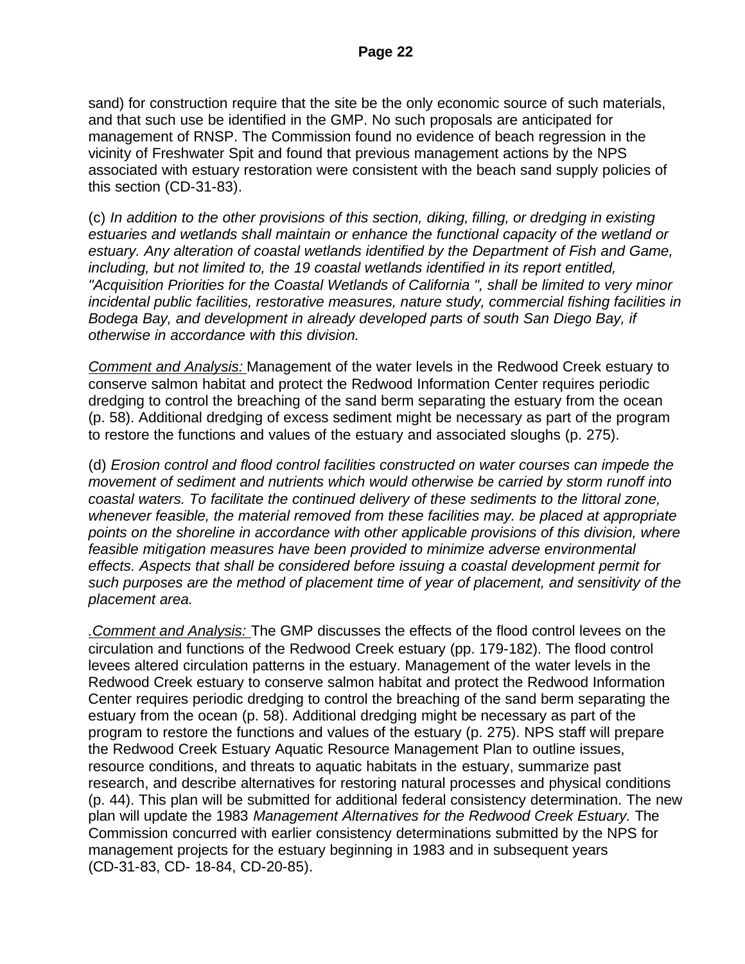sand) for construction require that the site be the only economic source of such materials, and that such use be identified in the GMP. No such proposals are anticipated for management of RNSP. The Commission found no evidence of beach regression in the vicinity of Freshwater Spit and found that previous management actions by the NPS associated with estuary restoration were consistent with the beach sand supply policies of this section (CD-31-83).

(c) *In addition to the other provisions of this section, diking, filling, or dredging in existing estuaries and wetlands shall maintain or enhance the functional capacity of the wetland or estuary. Any alteration of coastal wetlands identified by the Department of Fish and Game, including, but not limited to, the 19 coastal wetlands identified in its report entitled, "Acquisition Priorities for the Coastal Wetlands of California ", shall be limited to very minor incidental public facilities, restorative measures, nature study, commercial fishing facilities in Bodega Bay, and development in already developed parts of south San Diego Bay, if otherwise in accordance with this division.*

*Comment and Analysis:* Management of the water levels in the Redwood Creek estuary to conserve salmon habitat and protect the Redwood Information Center requires periodic dredging to control the breaching of the sand berm separating the estuary from the ocean (p. 58). Additional dredging of excess sediment might be necessary as part of the program to restore the functions and values of the estuary and associated sloughs (p. 275).

(d) *Erosion control and flood control facilities constructed on water courses can impede the movement of sediment and nutrients which would otherwise be carried by storm runoff into coastal waters. To facilitate the continued delivery of these sediments to the littoral zone, whenever feasible, the material removed from these facilities may. be placed at appropriate points on the shoreline in accordance with other applicable provisions of this division, where feasible mitigation measures have been provided to minimize adverse environmental effects. Aspects that shall be considered before issuing a coastal development permit for such purposes are the method of placement time of year of placement, and sensitivity of the placement area.*

*.Comment and Analysis:* The GMP discusses the effects of the flood control levees on the circulation and functions of the Redwood Creek estuary (pp. 179-182). The flood control levees altered circulation patterns in the estuary. Management of the water levels in the Redwood Creek estuary to conserve salmon habitat and protect the Redwood Information Center requires periodic dredging to control the breaching of the sand berm separating the estuary from the ocean (p. 58). Additional dredging might be necessary as part of the program to restore the functions and values of the estuary (p. 275). NPS staff will prepare the Redwood Creek Estuary Aquatic Resource Management Plan to outline issues, resource conditions, and threats to aquatic habitats in the estuary, summarize past research, and describe alternatives for restoring natural processes and physical conditions (p. 44). This plan will be submitted for additional federal consistency determination. The new plan will update the 1983 *Management Alternatives for the Redwood Creek Estuary.* The Commission concurred with earlier consistency determinations submitted by the NPS for management projects for the estuary beginning in 1983 and in subsequent years (CD-31-83, CD- 18-84, CD-20-85).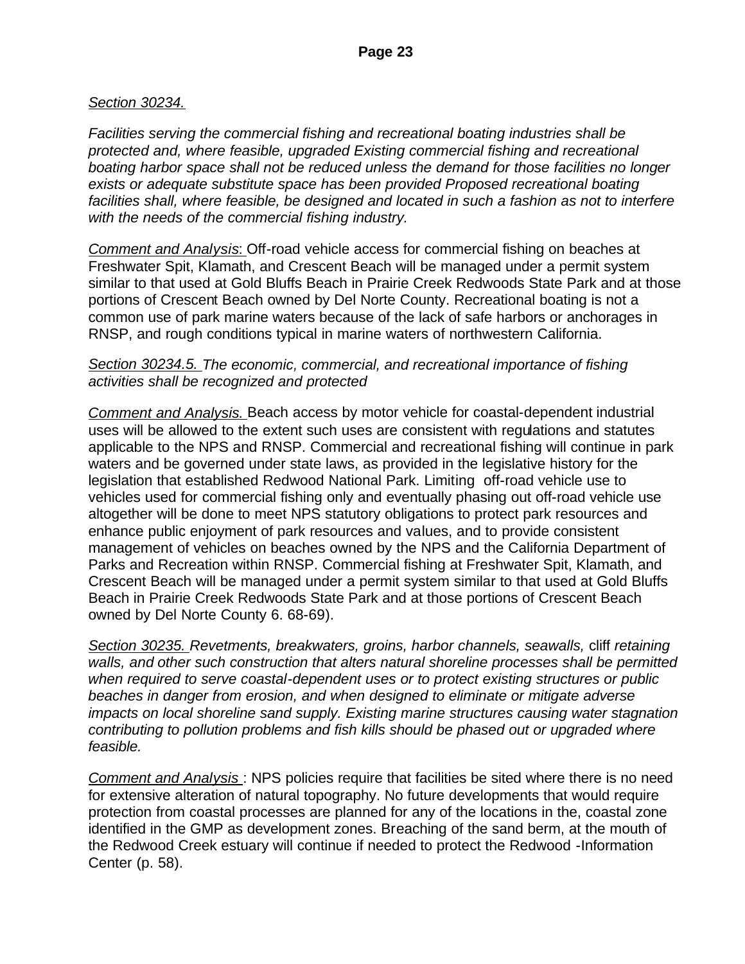### *Section 30234.*

*Facilities serving the commercial fishing and recreational boating industries shall be protected and, where feasible, upgraded Existing commercial fishing and recreational boating harbor space shall not be reduced unless the demand for those facilities no longer exists or adequate substitute space has been provided Proposed recreational boating*  facilities shall, where feasible, be designed and located in such a fashion as not to interfere *with the needs of the commercial fishing industry.*

*Comment and Analysis*: Off-road vehicle access for commercial fishing on beaches at Freshwater Spit, Klamath, and Crescent Beach will be managed under a permit system similar to that used at Gold Bluffs Beach in Prairie Creek Redwoods State Park and at those portions of Crescent Beach owned by Del Norte County. Recreational boating is not a common use of park marine waters because of the lack of safe harbors or anchorages in RNSP, and rough conditions typical in marine waters of northwestern California.

#### *Section 30234.5. The economic, commercial, and recreational importance of fishing activities shall be recognized and protected*

*Comment and Analysis*. Beach access by motor vehicle for coastal-dependent industrial uses will be allowed to the extent such uses are consistent with regulations and statutes applicable to the NPS and RNSP. Commercial and recreational fishing will continue in park waters and be governed under state laws, as provided in the legislative history for the legislation that established Redwood National Park. Limiting off-road vehicle use to vehicles used for commercial fishing only and eventually phasing out off-road vehicle use altogether will be done to meet NPS statutory obligations to protect park resources and enhance public enjoyment of park resources and values, and to provide consistent management of vehicles on beaches owned by the NPS and the California Department of Parks and Recreation within RNSP. Commercial fishing at Freshwater Spit, Klamath, and Crescent Beach will be managed under a permit system similar to that used at Gold Bluffs Beach in Prairie Creek Redwoods State Park and at those portions of Crescent Beach owned by Del Norte County 6. 68-69).

*Section 30235. Revetments, breakwaters, groins, harbor channels, seawalls,* cliff *retaining walls, and other such construction that alters natural shoreline processes shall be permitted when required to serve coastal-dependent uses or to protect existing structures or public beaches in danger from erosion, and when designed to eliminate or mitigate adverse impacts on local shoreline sand supply. Existing marine structures causing water stagnation contributing to pollution problems and fish kills should be phased out or upgraded where feasible.*

*Comment and Analysis* : NPS policies require that facilities be sited where there is no need for extensive alteration of natural topography. No future developments that would require protection from coastal processes are planned for any of the locations in the, coastal zone identified in the GMP as development zones. Breaching of the sand berm, at the mouth of the Redwood Creek estuary will continue if needed to protect the Redwood -Information Center (p. 58).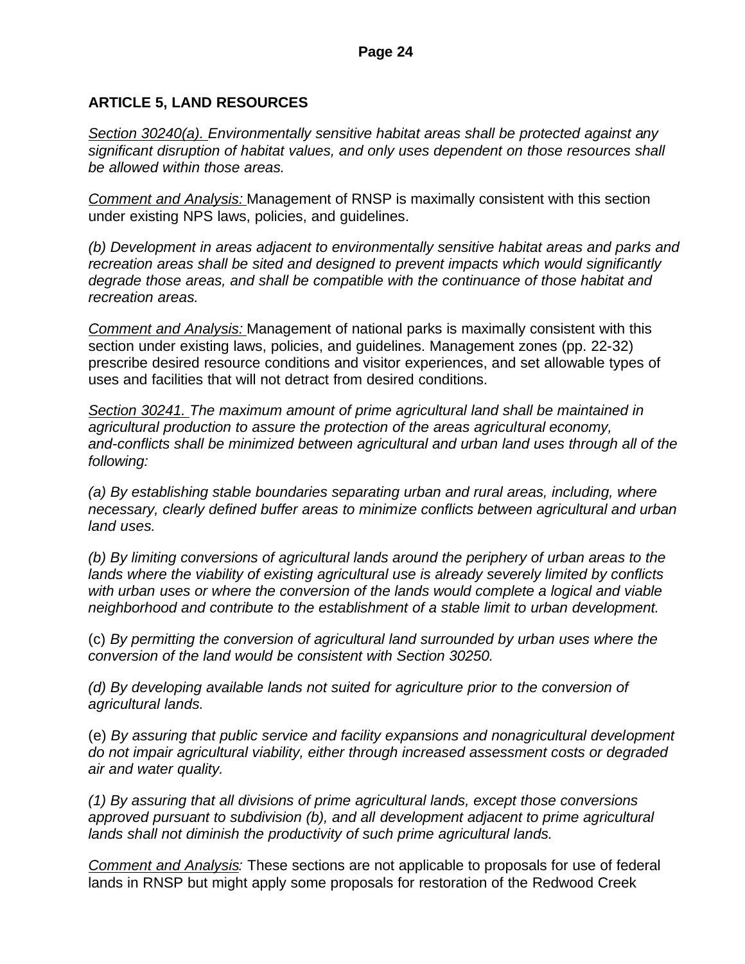# **ARTICLE 5, LAND RESOURCES**

*Section 30240(a). Environmentally sensitive habitat areas shall be protected against any significant disruption of habitat values, and only uses dependent on those resources shall be allowed within those areas.*

*Comment and Analysis:* Management of RNSP is maximally consistent with this section under existing NPS laws, policies, and guidelines.

*(b) Development in areas adjacent to environmentally sensitive habitat areas and parks and recreation areas shall be sited and designed to prevent impacts which would significantly degrade those areas, and shall be compatible with the continuance of those habitat and recreation areas.*

*Comment and Analysis:* Management of national parks is maximally consistent with this section under existing laws, policies, and guidelines. Management zones (pp. 22-32) prescribe desired resource conditions and visitor experiences, and set allowable types of uses and facilities that will not detract from desired conditions.

*Section 30241. The maximum amount of prime agricultural land shall be maintained in agricultural production to assure the protection of the areas agricultural economy, and-conflicts shall be minimized between agricultural and urban land uses through all of the following:*

*(a) By establishing stable boundaries separating urban and rural areas, including, where necessary, clearly defined buffer areas to minimize conflicts between agricultural and urban land uses.*

*(b) By limiting conversions of agricultural lands around the periphery of urban areas to the lands where the viability of existing agricultural use is already severely limited by conflicts with urban uses or where the conversion of the lands would complete a logical and viable neighborhood and contribute to the establishment of a stable limit to urban development.*

(c) *By permitting the conversion of agricultural land surrounded by urban uses where the conversion of the land would be consistent with Section 30250.*

*(d) By developing available lands not suited for agriculture prior to the conversion of agricultural lands.*

(e) *By assuring that public service and facility expansions and nonagricultural development do not impair agricultural viability, either through increased assessment costs or degraded air and water quality.*

*(1) By assuring that all divisions of prime agricultural lands, except those conversions approved pursuant to subdivision (b), and all development adjacent to prime agricultural lands shall not diminish the productivity of such prime agricultural lands.*

*Comment and Analysis:* These sections are not applicable to proposals for use of federal lands in RNSP but might apply some proposals for restoration of the Redwood Creek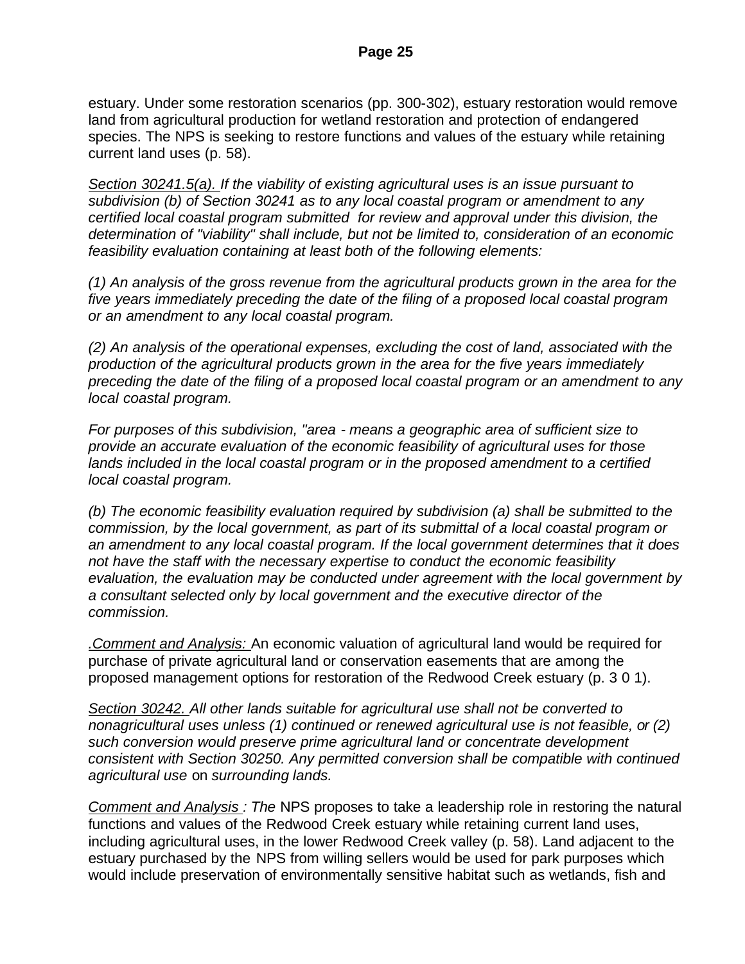estuary. Under some restoration scenarios (pp. 300-302), estuary restoration would remove land from agricultural production for wetland restoration and protection of endangered species. The NPS is seeking to restore functions and values of the estuary while retaining current land uses (p. 58).

*Section 30241.5(a). If the viability of existing agricultural uses is an issue pursuant to subdivision (b) of Section 30241 as to any local coastal program or amendment to any certified local coastal program submitted for review and approval under this division, the determination of "viability" shall include, but not be limited to, consideration of an economic feasibility evaluation containing at least both of the following elements:*

*(1) An analysis of the gross revenue from the agricultural products grown in the area for the five years immediately preceding the date of the filing of a proposed local coastal program or an amendment to any local coastal program.*

*(2) An analysis of the operational expenses, excluding the cost of land, associated with the production of the agricultural products grown in the area for the five years immediately preceding the date of the filing of a proposed local coastal program or an amendment to any local coastal program.*

*For purposes of this subdivision, "area - means a geographic area of sufficient size to provide an accurate evaluation of the economic feasibility of agricultural uses for those*  lands included in the local coastal program or in the proposed amendment to a certified *local coastal program.*

*(b) The economic feasibility evaluation required by subdivision (a) shall be submitted to the commission, by the local government, as part of its submittal of a local coastal program or an amendment to any local coastal program. If the local government determines that it does not have the staff with the necessary expertise to conduct the economic feasibility evaluation, the evaluation may be conducted under agreement with the local government by a consultant selected only by local government and the executive director of the commission.*

*.Comment and Analysis:* An economic valuation of agricultural land would be required for purchase of private agricultural land or conservation easements that are among the proposed management options for restoration of the Redwood Creek estuary (p. 3 0 1).

*Section 30242. All other lands suitable for agricultural use shall not be converted to nonagricultural uses unless (1) continued or renewed agricultural use is not feasible, or (2) such conversion would preserve prime agricultural land or concentrate development consistent with Section 30250. Any permitted conversion shall be compatible with continued agricultural use* on *surrounding lands.*

*Comment and Analysis : The* NPS proposes to take a leadership role in restoring the natural functions and values of the Redwood Creek estuary while retaining current land uses, including agricultural uses, in the lower Redwood Creek valley (p. 58). Land adjacent to the estuary purchased by the NPS from willing sellers would be used for park purposes which would include preservation of environmentally sensitive habitat such as wetlands, fish and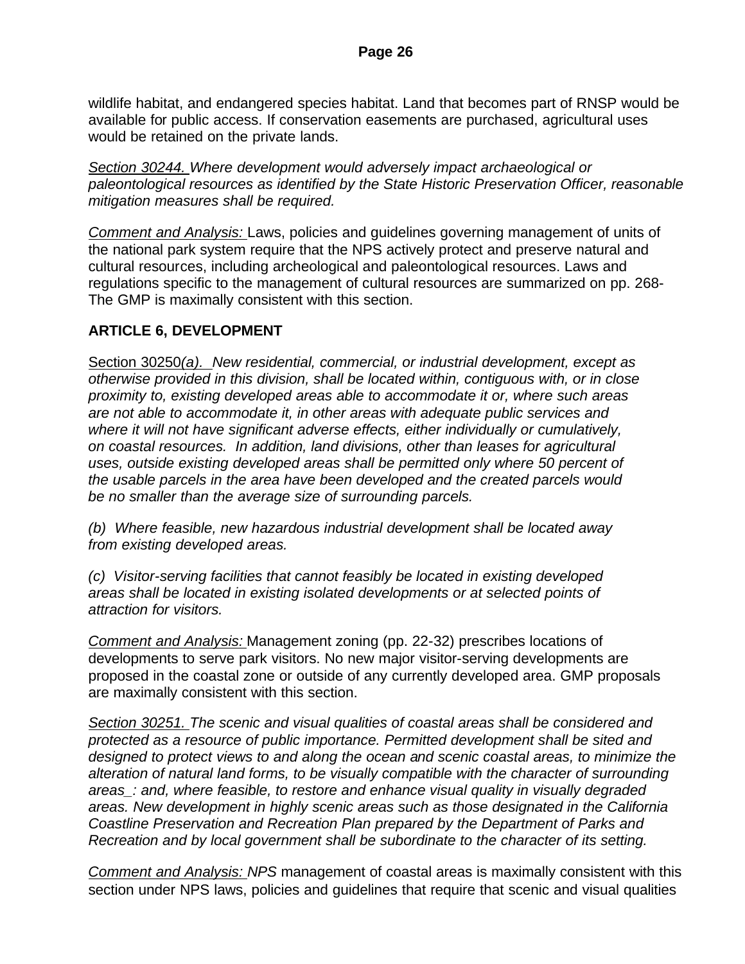wildlife habitat, and endangered species habitat. Land that becomes part of RNSP would be available for public access. If conservation easements are purchased, agricultural uses would be retained on the private lands.

*Section 30244. Where development would adversely impact archaeological or paleontological resources as identified by the State Historic Preservation Officer, reasonable mitigation measures shall be required.*

*Comment and Analysis:* Laws, policies and guidelines governing management of units of the national park system require that the NPS actively protect and preserve natural and cultural resources, including archeological and paleontological resources. Laws and regulations specific to the management of cultural resources are summarized on pp. 268- The GMP is maximally consistent with this section.

## **ARTICLE 6, DEVELOPMENT**

Section 30250*(a). New residential, commercial, or industrial development, except as otherwise provided in this division, shall be located within, contiguous with, or in close proximity to, existing developed areas able to accommodate it or, where such areas are not able to accommodate it, in other areas with adequate public services and where it will not have significant adverse effects, either individually or cumulatively, on coastal resources. In addition, land divisions, other than leases for agricultural uses, outside existing developed areas shall be permitted only where 50 percent of the usable parcels in the area have been developed and the created parcels would be no smaller than the average size of surrounding parcels.*

*(b) Where feasible, new hazardous industrial development shall be located away from existing developed areas.* 

*(c) Visitor-serving facilities that cannot feasibly be located in existing developed areas shall be located in existing isolated developments or at selected points of attraction for visitors.*

*Comment and Analysis:* Management zoning (pp. 22-32) prescribes locations of developments to serve park visitors. No new major visitor-serving developments are proposed in the coastal zone or outside of any currently developed area. GMP proposals are maximally consistent with this section.

*Section 30251. The scenic and visual qualities of coastal areas shall be considered and protected as a resource of public importance. Permitted development shall be sited and designed to protect views to and along the ocean and scenic coastal areas, to minimize the alteration of natural land forms, to be visually compatible with the character of surrounding areas\_: and, where feasible, to restore and enhance visual quality in visually degraded areas. New development in highly scenic areas such as those designated in the California Coastline Preservation and Recreation Plan prepared by the Department of Parks and Recreation and by local government shall be subordinate to the character of its setting.*

*Comment and Analysis: NPS* management of coastal areas is maximally consistent with this section under NPS laws, policies and guidelines that require that scenic and visual qualities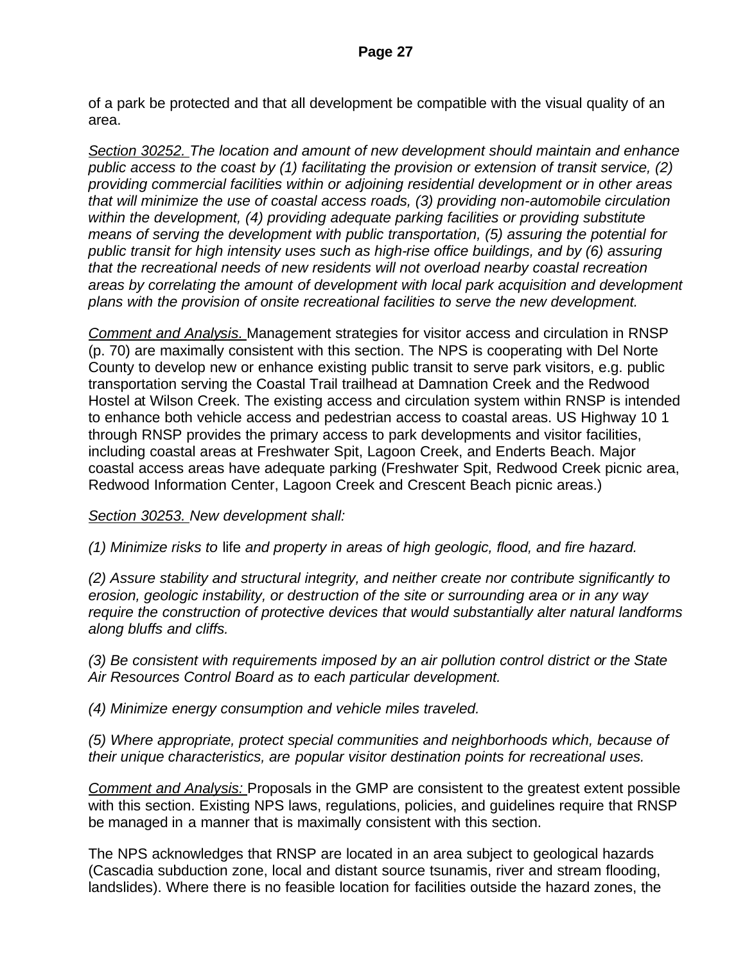of a park be protected and that all development be compatible with the visual quality of an area.

*Section 30252. The location and amount of new development should maintain and enhance public access to the coast by (1) facilitating the provision or extension of transit service, (2) providing commercial facilities within or adjoining residential development or in other areas that will minimize the use of coastal access roads, (3) providing non-automobile circulation within the development, (4) providing adequate parking facilities or providing substitute means of serving the development with public transportation, (5) assuring the potential for public transit for high intensity uses such as high-rise office buildings, and by (6) assuring that the recreational needs of new residents will not overload nearby coastal recreation areas by correlating the amount of development with local park acquisition and development plans with the provision of onsite recreational facilities to serve the new development.*

*Comment and Analysis.* Management strategies for visitor access and circulation in RNSP (p. 70) are maximally consistent with this section. The NPS is cooperating with Del Norte County to develop new or enhance existing public transit to serve park visitors, e.g. public transportation serving the Coastal Trail trailhead at Damnation Creek and the Redwood Hostel at Wilson Creek. The existing access and circulation system within RNSP is intended to enhance both vehicle access and pedestrian access to coastal areas. US Highway 10 1 through RNSP provides the primary access to park developments and visitor facilities, including coastal areas at Freshwater Spit, Lagoon Creek, and Enderts Beach. Major coastal access areas have adequate parking (Freshwater Spit, Redwood Creek picnic area, Redwood Information Center, Lagoon Creek and Crescent Beach picnic areas.)

*Section 30253. New development shall:*

*(1) Minimize risks to* life *and property in areas of high geologic, flood, and fire hazard.*

*(2) Assure stability and structural integrity, and neither create nor contribute significantly to erosion, geologic instability, or destruction of the site or surrounding area or in any way require the construction of protective devices that would substantially alter natural landforms along bluffs and cliffs.*

*(3) Be consistent with requirements imposed by an air pollution control district or the State Air Resources Control Board as to each particular development.*

*(4) Minimize energy consumption and vehicle miles traveled.*

*(5) Where appropriate, protect special communities and neighborhoods which, because of their unique characteristics, are popular visitor destination points for recreational uses.*

*Comment and Analysis:* Proposals in the GMP are consistent to the greatest extent possible with this section. Existing NPS laws, regulations, policies, and guidelines require that RNSP be managed in a manner that is maximally consistent with this section.

The NPS acknowledges that RNSP are located in an area subject to geological hazards (Cascadia subduction zone, local and distant source tsunamis, river and stream flooding, landslides). Where there is no feasible location for facilities outside the hazard zones, the